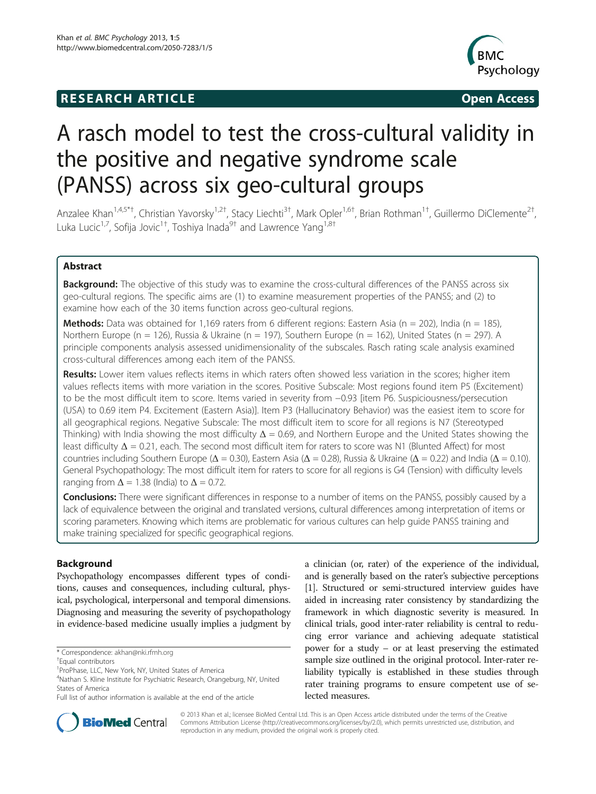# **RESEARCH ARTICLE Example 2018 12:00 Open Access**



# A rasch model to test the cross-cultural validity in the positive and negative syndrome scale (PANSS) across six geo-cultural groups

Anzalee Khan<sup>1,4,5\*†</sup>, Christian Yavorsky<sup>1,2†</sup>, Stacy Liechti<sup>3†</sup>, Mark Opler<sup>1,6†</sup>, Brian Rothman<sup>1†</sup>, Guillermo DiClemente<sup>2†</sup> , Luka Lucic<sup>1,7</sup>, Sofija Jovic<sup>1†</sup>, Toshiya Inada<sup>9†</sup> and Lawrence Yang<sup>1,8†</sup>

# Abstract

Background: The objective of this study was to examine the cross-cultural differences of the PANSS across six geo-cultural regions. The specific aims are (1) to examine measurement properties of the PANSS; and (2) to examine how each of the 30 items function across geo-cultural regions.

**Methods:** Data was obtained for 1,169 raters from 6 different regions: Eastern Asia (n = 202), India (n = 185), Northern Europe (n = 126), Russia & Ukraine (n = 197), Southern Europe (n = 162), United States (n = 297). A principle components analysis assessed unidimensionality of the subscales. Rasch rating scale analysis examined cross-cultural differences among each item of the PANSS.

Results: Lower item values reflects items in which raters often showed less variation in the scores; higher item values reflects items with more variation in the scores. Positive Subscale: Most regions found item P5 (Excitement) to be the most difficult item to score. Items varied in severity from −0.93 [item P6. Suspiciousness/persecution (USA) to 0.69 item P4. Excitement (Eastern Asia)]. Item P3 (Hallucinatory Behavior) was the easiest item to score for all geographical regions. Negative Subscale: The most difficult item to score for all regions is N7 (Stereotyped Thinking) with India showing the most difficulty  $\Delta = 0.69$ , and Northern Europe and the United States showing the least difficulty  $\Delta = 0.21$ , each. The second most difficult item for raters to score was N1 (Blunted Affect) for most countries including Southern Europe ( $Δ = 0.30$ ), Eastern Asia ( $Δ = 0.28$ ), Russia & Ukraine ( $Δ = 0.22$ ) and India ( $Δ = 0.10$ ). General Psychopathology: The most difficult item for raters to score for all regions is G4 (Tension) with difficulty levels ranging from  $\Delta = 1.38$  (India) to  $\Delta = 0.72$ .

**Conclusions:** There were significant differences in response to a number of items on the PANSS, possibly caused by a lack of equivalence between the original and translated versions, cultural differences among interpretation of items or scoring parameters. Knowing which items are problematic for various cultures can help guide PANSS training and make training specialized for specific geographical regions.

# Background

Psychopathology encompasses different types of conditions, causes and consequences, including cultural, physical, psychological, interpersonal and temporal dimensions. Diagnosing and measuring the severity of psychopathology in evidence-based medicine usually implies a judgment by a clinician (or, rater) of the experience of the individual, and is generally based on the rater's subjective perceptions [[1](#page-15-0)]. Structured or semi-structured interview guides have aided in increasing rater consistency by standardizing the framework in which diagnostic severity is measured. In clinical trials, good inter-rater reliability is central to reducing error variance and achieving adequate statistical power for a study – or at least preserving the estimated sample size outlined in the original protocol. Inter-rater reliability typically is established in these studies through rater training programs to ensure competent use of selected measures.



© 2013 Khan et al.; licensee BioMed Central Ltd. This is an Open Access article distributed under the terms of the Creative Commons Attribution License [\(http://creativecommons.org/licenses/by/2.0\)](http://creativecommons.org/licenses/by/2.0), which permits unrestricted use, distribution, and reproduction in any medium, provided the original work is properly cited.

<sup>\*</sup> Correspondence: [akhan@nki.rfmh.org](mailto:akhan@nki.rfmh.org) †

Equal contributors

<sup>&</sup>lt;sup>1</sup> ProPhase, LLC, New York, NY, United States of America

<sup>&</sup>lt;sup>4</sup>Nathan S. Kline Institute for Psychiatric Research, Orangeburg, NY, United States of America

Full list of author information is available at the end of the article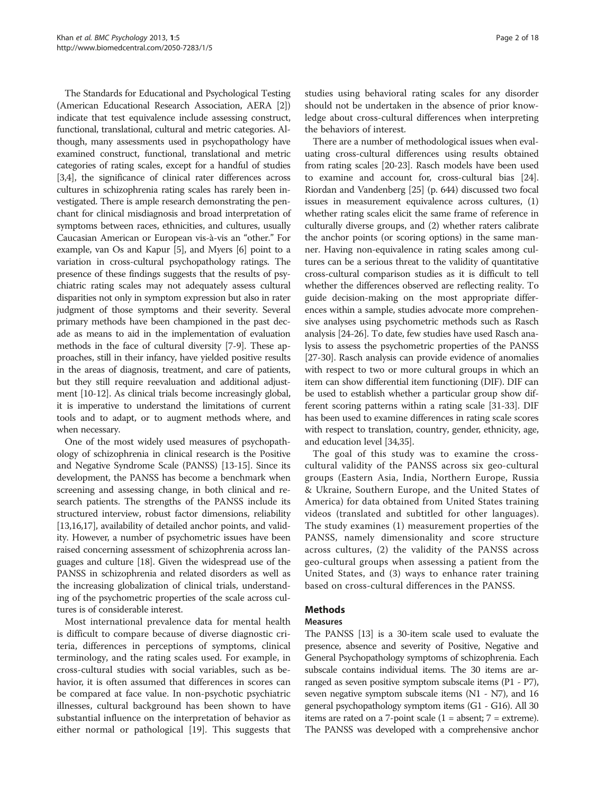The Standards for Educational and Psychological Testing (American Educational Research Association, AERA [[2](#page-15-0)]) indicate that test equivalence include assessing construct, functional, translational, cultural and metric categories. Although, many assessments used in psychopathology have examined construct, functional, translational and metric categories of rating scales, except for a handful of studies [[3,4](#page-15-0)], the significance of clinical rater differences across cultures in schizophrenia rating scales has rarely been investigated. There is ample research demonstrating the penchant for clinical misdiagnosis and broad interpretation of symptoms between races, ethnicities, and cultures, usually Caucasian American or European vis-à-vis an "other." For example, van Os and Kapur [\[5](#page-15-0)], and Myers [\[6\]](#page-15-0) point to a variation in cross-cultural psychopathology ratings. The presence of these findings suggests that the results of psychiatric rating scales may not adequately assess cultural disparities not only in symptom expression but also in rater judgment of those symptoms and their severity. Several primary methods have been championed in the past decade as means to aid in the implementation of evaluation methods in the face of cultural diversity [\[7-9](#page-15-0)]. These approaches, still in their infancy, have yielded positive results in the areas of diagnosis, treatment, and care of patients, but they still require reevaluation and additional adjustment [\[10-12\]](#page-15-0). As clinical trials become increasingly global, it is imperative to understand the limitations of current tools and to adapt, or to augment methods where, and when necessary.

One of the most widely used measures of psychopathology of schizophrenia in clinical research is the Positive and Negative Syndrome Scale (PANSS) [\[13](#page-15-0)-[15](#page-15-0)]. Since its development, the PANSS has become a benchmark when screening and assessing change, in both clinical and research patients. The strengths of the PANSS include its structured interview, robust factor dimensions, reliability [[13,16,17\]](#page-15-0), availability of detailed anchor points, and validity. However, a number of psychometric issues have been raised concerning assessment of schizophrenia across languages and culture [\[18\]](#page-16-0). Given the widespread use of the PANSS in schizophrenia and related disorders as well as the increasing globalization of clinical trials, understanding of the psychometric properties of the scale across cultures is of considerable interest.

Most international prevalence data for mental health is difficult to compare because of diverse diagnostic criteria, differences in perceptions of symptoms, clinical terminology, and the rating scales used. For example, in cross-cultural studies with social variables, such as behavior, it is often assumed that differences in scores can be compared at face value. In non-psychotic psychiatric illnesses, cultural background has been shown to have substantial influence on the interpretation of behavior as either normal or pathological [[19\]](#page-16-0). This suggests that

studies using behavioral rating scales for any disorder should not be undertaken in the absence of prior knowledge about cross-cultural differences when interpreting the behaviors of interest.

There are a number of methodological issues when evaluating cross-cultural differences using results obtained from rating scales [\[20](#page-16-0)-[23](#page-16-0)]. Rasch models have been used to examine and account for, cross-cultural bias [[24](#page-16-0)]. Riordan and Vandenberg [\[25](#page-16-0)] (p. 644) discussed two focal issues in measurement equivalence across cultures, (1) whether rating scales elicit the same frame of reference in culturally diverse groups, and (2) whether raters calibrate the anchor points (or scoring options) in the same manner. Having non-equivalence in rating scales among cultures can be a serious threat to the validity of quantitative cross-cultural comparison studies as it is difficult to tell whether the differences observed are reflecting reality. To guide decision-making on the most appropriate differences within a sample, studies advocate more comprehensive analyses using psychometric methods such as Rasch analysis [[24-26\]](#page-16-0). To date, few studies have used Rasch analysis to assess the psychometric properties of the PANSS [[27](#page-16-0)-[30\]](#page-16-0). Rasch analysis can provide evidence of anomalies with respect to two or more cultural groups in which an item can show differential item functioning (DIF). DIF can be used to establish whether a particular group show different scoring patterns within a rating scale [[31](#page-16-0)-[33](#page-16-0)]. DIF has been used to examine differences in rating scale scores with respect to translation, country, gender, ethnicity, age, and education level [[34,35\]](#page-16-0).

The goal of this study was to examine the crosscultural validity of the PANSS across six geo-cultural groups (Eastern Asia, India, Northern Europe, Russia & Ukraine, Southern Europe, and the United States of America) for data obtained from United States training videos (translated and subtitled for other languages). The study examines (1) measurement properties of the PANSS, namely dimensionality and score structure across cultures, (2) the validity of the PANSS across geo-cultural groups when assessing a patient from the United States, and (3) ways to enhance rater training based on cross-cultural differences in the PANSS.

# Methods

# Measures

The PANSS [\[13](#page-15-0)] is a 30-item scale used to evaluate the presence, absence and severity of Positive, Negative and General Psychopathology symptoms of schizophrenia. Each subscale contains individual items. The 30 items are arranged as seven positive symptom subscale items (P1 - P7), seven negative symptom subscale items (N1 - N7), and 16 general psychopathology symptom items (G1 - G16). All 30 items are rated on a 7-point scale  $(1 = absent; 7 = extreme)$ . The PANSS was developed with a comprehensive anchor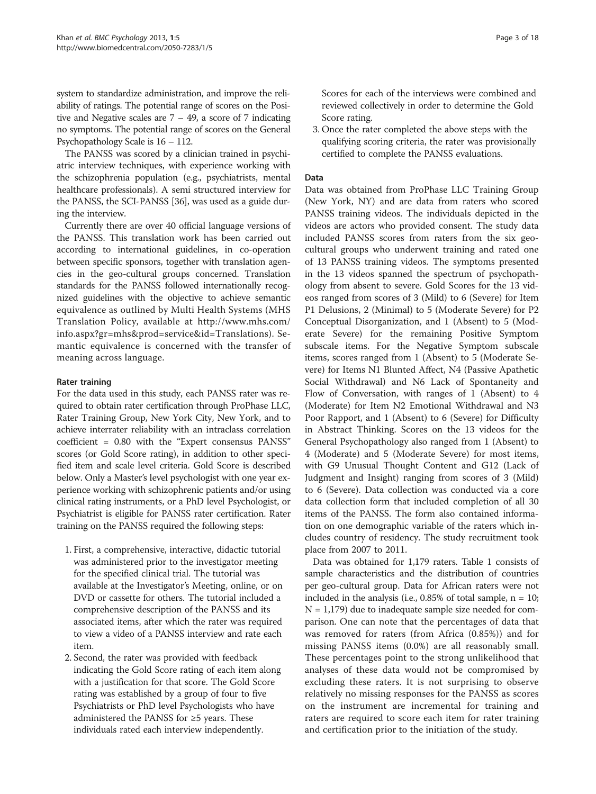system to standardize administration, and improve the reliability of ratings. The potential range of scores on the Positive and Negative scales are  $7 - 49$ , a score of 7 indicating no symptoms. The potential range of scores on the General Psychopathology Scale is 16 – 112.

The PANSS was scored by a clinician trained in psychiatric interview techniques, with experience working with the schizophrenia population (e.g., psychiatrists, mental healthcare professionals). A semi structured interview for the PANSS, the SCI-PANSS [[36](#page-16-0)], was used as a guide during the interview.

Currently there are over 40 official language versions of the PANSS. This translation work has been carried out according to international guidelines, in co-operation between specific sponsors, together with translation agencies in the geo-cultural groups concerned. Translation standards for the PANSS followed internationally recognized guidelines with the objective to achieve semantic equivalence as outlined by Multi Health Systems (MHS Translation Policy, available at [http://www.mhs.com/](http://www.mhs.com/info.aspx?gr=mhs&prod=service&id=Translations) [info.aspx?gr=mhs&prod=service&id=Translations](http://www.mhs.com/info.aspx?gr=mhs&prod=service&id=Translations)). Semantic equivalence is concerned with the transfer of meaning across language.

# Rater training

For the data used in this study, each PANSS rater was required to obtain rater certification through ProPhase LLC, Rater Training Group, New York City, New York, and to achieve interrater reliability with an intraclass correlation coefficient = 0.80 with the "Expert consensus PANSS" scores (or Gold Score rating), in addition to other specified item and scale level criteria. Gold Score is described below. Only a Master's level psychologist with one year experience working with schizophrenic patients and/or using clinical rating instruments, or a PhD level Psychologist, or Psychiatrist is eligible for PANSS rater certification. Rater training on the PANSS required the following steps:

- 1. First, a comprehensive, interactive, didactic tutorial was administered prior to the investigator meeting for the specified clinical trial. The tutorial was available at the Investigator's Meeting, online, or on DVD or cassette for others. The tutorial included a comprehensive description of the PANSS and its associated items, after which the rater was required to view a video of a PANSS interview and rate each item.
- 2. Second, the rater was provided with feedback indicating the Gold Score rating of each item along with a justification for that score. The Gold Score rating was established by a group of four to five Psychiatrists or PhD level Psychologists who have administered the PANSS for ≥5 years. These individuals rated each interview independently.

Scores for each of the interviews were combined and reviewed collectively in order to determine the Gold Score rating.

3. Once the rater completed the above steps with the qualifying scoring criteria, the rater was provisionally certified to complete the PANSS evaluations.

## Data

Data was obtained from ProPhase LLC Training Group (New York, NY) and are data from raters who scored PANSS training videos. The individuals depicted in the videos are actors who provided consent. The study data included PANSS scores from raters from the six geocultural groups who underwent training and rated one of 13 PANSS training videos. The symptoms presented in the 13 videos spanned the spectrum of psychopathology from absent to severe. Gold Scores for the 13 videos ranged from scores of 3 (Mild) to 6 (Severe) for Item P1 Delusions, 2 (Minimal) to 5 (Moderate Severe) for P2 Conceptual Disorganization, and 1 (Absent) to 5 (Moderate Severe) for the remaining Positive Symptom subscale items. For the Negative Symptom subscale items, scores ranged from 1 (Absent) to 5 (Moderate Severe) for Items N1 Blunted Affect, N4 (Passive Apathetic Social Withdrawal) and N6 Lack of Spontaneity and Flow of Conversation, with ranges of 1 (Absent) to 4 (Moderate) for Item N2 Emotional Withdrawal and N3 Poor Rapport, and 1 (Absent) to 6 (Severe) for Difficulty in Abstract Thinking. Scores on the 13 videos for the General Psychopathology also ranged from 1 (Absent) to 4 (Moderate) and 5 (Moderate Severe) for most items, with G9 Unusual Thought Content and G12 (Lack of Judgment and Insight) ranging from scores of 3 (Mild) to 6 (Severe). Data collection was conducted via a core data collection form that included completion of all 30 items of the PANSS. The form also contained information on one demographic variable of the raters which includes country of residency. The study recruitment took place from 2007 to 2011.

Data was obtained for 1,179 raters. Table [1](#page-3-0) consists of sample characteristics and the distribution of countries per geo-cultural group. Data for African raters were not included in the analysis (i.e.,  $0.85\%$  of total sample,  $n = 10$ ;  $N = 1,179$ ) due to inadequate sample size needed for comparison. One can note that the percentages of data that was removed for raters (from Africa (0.85%)) and for missing PANSS items (0.0%) are all reasonably small. These percentages point to the strong unlikelihood that analyses of these data would not be compromised by excluding these raters. It is not surprising to observe relatively no missing responses for the PANSS as scores on the instrument are incremental for training and raters are required to score each item for rater training and certification prior to the initiation of the study.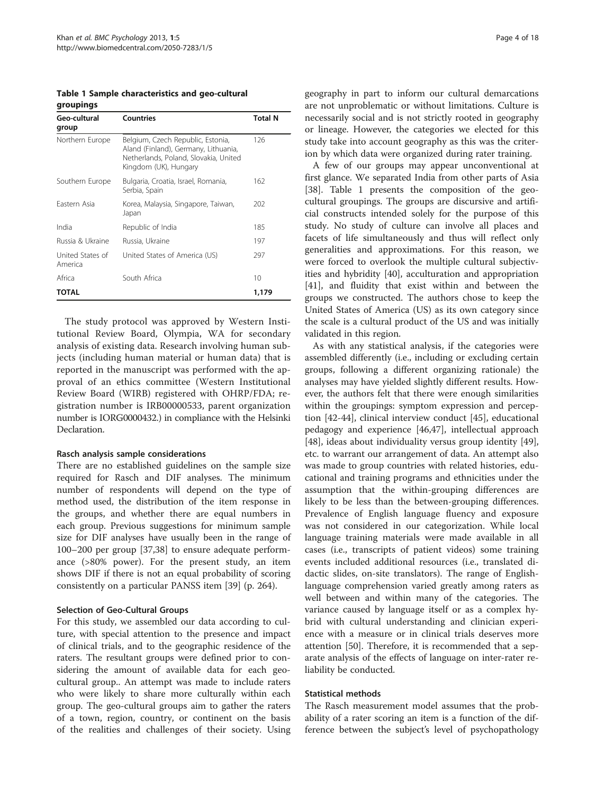<span id="page-3-0"></span>Table 1 Sample characteristics and geo-cultural groupings

| Geo-cultural<br>group       | Countries                                                                                                                                   | Total N |
|-----------------------------|---------------------------------------------------------------------------------------------------------------------------------------------|---------|
| Northern Europe             | Belgium, Czech Republic, Estonia,<br>Aland (Finland), Germany, Lithuania,<br>Netherlands, Poland, Slovakia, United<br>Kingdom (UK), Hungary | 126     |
| Southern Europe             | Bulgaria, Croatia, Israel, Romania,<br>Serbia, Spain                                                                                        | 162     |
| Fastern Asia                | Korea, Malaysia, Singapore, Taiwan,<br>Japan                                                                                                | 202     |
| India                       | Republic of India                                                                                                                           | 185     |
| Russia & Ukraine            | Russia, Ukraine                                                                                                                             | 197     |
| United States of<br>America | United States of America (US)                                                                                                               | 297     |
| Africa                      | South Africa                                                                                                                                | 10      |
| TOTAL                       |                                                                                                                                             | 1,179   |

The study protocol was approved by Western Institutional Review Board, Olympia, WA for secondary analysis of existing data. Research involving human subjects (including human material or human data) that is reported in the manuscript was performed with the approval of an ethics committee (Western Institutional Review Board (WIRB) registered with OHRP/FDA; registration number is IRB00000533, parent organization number is IORG0000432.) in compliance with the Helsinki Declaration.

## Rasch analysis sample considerations

There are no established guidelines on the sample size required for Rasch and DIF analyses. The minimum number of respondents will depend on the type of method used, the distribution of the item response in the groups, and whether there are equal numbers in each group. Previous suggestions for minimum sample size for DIF analyses have usually been in the range of 100–200 per group [\[37,38\]](#page-16-0) to ensure adequate performance (>80% power). For the present study, an item shows DIF if there is not an equal probability of scoring consistently on a particular PANSS item [[39\]](#page-16-0) (p. 264).

### Selection of Geo-Cultural Groups

For this study, we assembled our data according to culture, with special attention to the presence and impact of clinical trials, and to the geographic residence of the raters. The resultant groups were defined prior to considering the amount of available data for each geocultural group.. An attempt was made to include raters who were likely to share more culturally within each group. The geo-cultural groups aim to gather the raters of a town, region, country, or continent on the basis of the realities and challenges of their society. Using

geography in part to inform our cultural demarcations are not unproblematic or without limitations. Culture is necessarily social and is not strictly rooted in geography or lineage. However, the categories we elected for this study take into account geography as this was the criterion by which data were organized during rater training.

A few of our groups may appear unconventional at first glance. We separated India from other parts of Asia [[38\]](#page-16-0). Table 1 presents the composition of the geocultural groupings. The groups are discursive and artificial constructs intended solely for the purpose of this study. No study of culture can involve all places and facets of life simultaneously and thus will reflect only generalities and approximations. For this reason, we were forced to overlook the multiple cultural subjectivities and hybridity [\[40](#page-16-0)], acculturation and appropriation [[41\]](#page-16-0), and fluidity that exist within and between the groups we constructed. The authors chose to keep the United States of America (US) as its own category since the scale is a cultural product of the US and was initially validated in this region.

As with any statistical analysis, if the categories were assembled differently (i.e., including or excluding certain groups, following a different organizing rationale) the analyses may have yielded slightly different results. However, the authors felt that there were enough similarities within the groupings: symptom expression and perception [[42](#page-16-0)-[44\]](#page-16-0), clinical interview conduct [\[45\]](#page-16-0), educational pedagogy and experience [\[46,47\]](#page-16-0), intellectual approach [[48\]](#page-16-0), ideas about individuality versus group identity [\[49](#page-16-0)], etc. to warrant our arrangement of data. An attempt also was made to group countries with related histories, educational and training programs and ethnicities under the assumption that the within-grouping differences are likely to be less than the between-grouping differences. Prevalence of English language fluency and exposure was not considered in our categorization. While local language training materials were made available in all cases (i.e., transcripts of patient videos) some training events included additional resources (i.e., translated didactic slides, on-site translators). The range of Englishlanguage comprehension varied greatly among raters as well between and within many of the categories. The variance caused by language itself or as a complex hybrid with cultural understanding and clinician experience with a measure or in clinical trials deserves more attention [\[50\]](#page-16-0). Therefore, it is recommended that a separate analysis of the effects of language on inter-rater reliability be conducted.

## Statistical methods

The Rasch measurement model assumes that the probability of a rater scoring an item is a function of the difference between the subject's level of psychopathology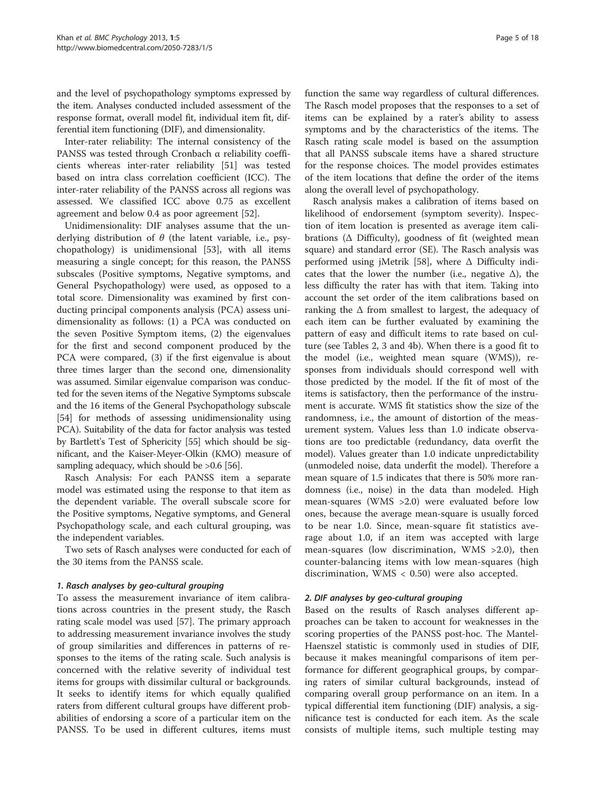and the level of psychopathology symptoms expressed by the item. Analyses conducted included assessment of the response format, overall model fit, individual item fit, differential item functioning (DIF), and dimensionality.

Inter-rater reliability: The internal consistency of the PANSS was tested through Cronbach α reliability coefficients whereas inter-rater reliability [\[51](#page-16-0)] was tested based on intra class correlation coefficient (ICC). The inter-rater reliability of the PANSS across all regions was assessed. We classified ICC above 0.75 as excellent agreement and below 0.4 as poor agreement [\[52](#page-16-0)].

Unidimensionality: DIF analyses assume that the underlying distribution of  $\theta$  (the latent variable, i.e., psychopathology) is unidimensional [\[53](#page-16-0)], with all items measuring a single concept; for this reason, the PANSS subscales (Positive symptoms, Negative symptoms, and General Psychopathology) were used, as opposed to a total score. Dimensionality was examined by first conducting principal components analysis (PCA) assess unidimensionality as follows: (1) a PCA was conducted on the seven Positive Symptom items, (2) the eigenvalues for the first and second component produced by the PCA were compared, (3) if the first eigenvalue is about three times larger than the second one, dimensionality was assumed. Similar eigenvalue comparison was conducted for the seven items of the Negative Symptoms subscale and the 16 items of the General Psychopathology subscale [[54](#page-16-0)] for methods of assessing unidimensionality using PCA). Suitability of the data for factor analysis was tested by Bartlett's Test of Sphericity [\[55\]](#page-16-0) which should be significant, and the Kaiser-Meyer-Olkin (KMO) measure of sampling adequacy, which should be >0.6 [\[56](#page-16-0)].

Rasch Analysis: For each PANSS item a separate model was estimated using the response to that item as the dependent variable. The overall subscale score for the Positive symptoms, Negative symptoms, and General Psychopathology scale, and each cultural grouping, was the independent variables.

Two sets of Rasch analyses were conducted for each of the 30 items from the PANSS scale.

To assess the measurement invariance of item calibrations across countries in the present study, the Rasch rating scale model was used [\[57](#page-16-0)]. The primary approach to addressing measurement invariance involves the study of group similarities and differences in patterns of responses to the items of the rating scale. Such analysis is concerned with the relative severity of individual test items for groups with dissimilar cultural or backgrounds. It seeks to identify items for which equally qualified raters from different cultural groups have different probabilities of endorsing a score of a particular item on the PANSS. To be used in different cultures, items must

function the same way regardless of cultural differences. The Rasch model proposes that the responses to a set of items can be explained by a rater's ability to assess symptoms and by the characteristics of the items. The Rasch rating scale model is based on the assumption that all PANSS subscale items have a shared structure for the response choices. The model provides estimates of the item locations that define the order of the items along the overall level of psychopathology.

Rasch analysis makes a calibration of items based on likelihood of endorsement (symptom severity). Inspection of item location is presented as average item calibrations (Δ Difficulty), goodness of fit (weighted mean square) and standard error (SE). The Rasch analysis was performed using jMetrik [[58](#page-16-0)], where Δ Difficulty indicates that the lower the number (i.e., negative  $\Delta$ ), the less difficulty the rater has with that item. Taking into account the set order of the item calibrations based on ranking the  $\Delta$  from smallest to largest, the adequacy of each item can be further evaluated by examining the pattern of easy and difficult items to rate based on culture (see Tables [2,](#page-5-0) [3](#page-6-0) and [4b](#page-8-0)). When there is a good fit to the model (i.e., weighted mean square (WMS)), responses from individuals should correspond well with those predicted by the model. If the fit of most of the items is satisfactory, then the performance of the instrument is accurate. WMS fit statistics show the size of the randomness, i.e., the amount of distortion of the measurement system. Values less than 1.0 indicate observations are too predictable (redundancy, data overfit the model). Values greater than 1.0 indicate unpredictability (unmodeled noise, data underfit the model). Therefore a mean square of 1.5 indicates that there is 50% more randomness (i.e., noise) in the data than modeled. High mean-squares (WMS >2.0) were evaluated before low ones, because the average mean-square is usually forced to be near 1.0. Since, mean-square fit statistics average about 1.0, if an item was accepted with large mean-squares (low discrimination, WMS >2.0), then counter-balancing items with low mean-squares (high discrimination, WMS < 0.50) were also accepted.

Based on the results of Rasch analyses different approaches can be taken to account for weaknesses in the scoring properties of the PANSS post-hoc. The Mantel-Haenszel statistic is commonly used in studies of DIF, because it makes meaningful comparisons of item performance for different geographical groups, by comparing raters of similar cultural backgrounds, instead of comparing overall group performance on an item. In a typical differential item functioning (DIF) analysis, a significance test is conducted for each item. As the scale consists of multiple items, such multiple testing may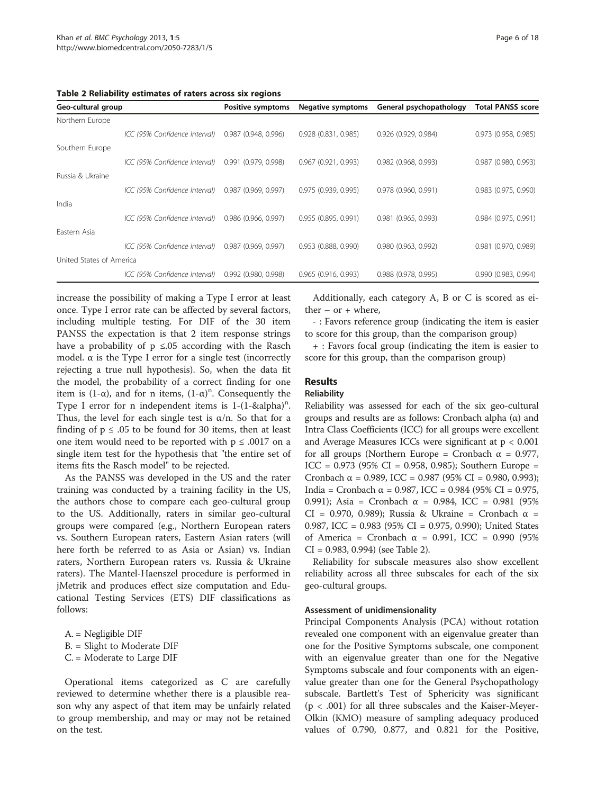<span id="page-5-0"></span>Table 2 Reliability estimates of raters across six regions

| Geo-cultural group       |                               | Positive symptoms    | <b>Negative symptoms</b> | General psychopathology | <b>Total PANSS score</b> |
|--------------------------|-------------------------------|----------------------|--------------------------|-------------------------|--------------------------|
| Northern Europe          |                               |                      |                          |                         |                          |
|                          | ICC (95% Confidence Interval) | 0.987 (0.948, 0.996) | 0.928(0.831, 0.985)      | 0.926 (0.929, 0.984)    | $0.973$ (0.958, 0.985)   |
| Southern Europe          |                               |                      |                          |                         |                          |
|                          | ICC (95% Confidence Interval) | 0.991 (0.979, 0.998) | 0.967(0.921, 0.993)      | $0.982$ (0.968, 0.993)  | $0.987$ (0.980, 0.993)   |
| Russia & Ukraine         |                               |                      |                          |                         |                          |
|                          | ICC (95% Confidence Interval) | 0.987 (0.969, 0.997) | 0.975(0.939, 0.995)      | 0.978 (0.960, 0.991)    | $0.983$ $(0.975, 0.990)$ |
| India                    |                               |                      |                          |                         |                          |
|                          | ICC (95% Confidence Interval) | 0.986(0.966, 0.997)  | 0.955(0.895, 0.991)      | $0.981$ (0.965, 0.993)  | 0.984(0.975, 0.991)      |
| Eastern Asia             |                               |                      |                          |                         |                          |
|                          | ICC (95% Confidence Interval) | 0.987(0.969, 0.997)  | $0.953$ (0.888, 0.990)   | 0.980(0.963, 0.992)     | $0.981$ (0.970, 0.989)   |
| United States of America |                               |                      |                          |                         |                          |
|                          | ICC (95% Confidence Interval) | 0.992(0.980, 0.998)  | 0.965(0.916, 0.993)      | 0.988 (0.978, 0.995)    | 0.990 (0.983, 0.994)     |
|                          |                               |                      |                          |                         |                          |

increase the possibility of making a Type I error at least once. Type I error rate can be affected by several factors, including multiple testing. For DIF of the 30 item PANSS the expectation is that 2 item response strings have a probability of  $p \leq 0.05$  according with the Rasch model.  $\alpha$  is the Type I error for a single test (incorrectly rejecting a true null hypothesis). So, when the data fit the model, the probability of a correct finding for one item is (1- $\alpha$ ), and for n items,  $(1-\alpha)^n$ . Consequently the Type I error for n independent items is  $1-(1-8a1pha)^n$ . Thus, the level for each single test is  $\alpha/n$ . So that for a finding of  $p \leq .05$  to be found for 30 items, then at least one item would need to be reported with  $p \leq .0017$  on a single item test for the hypothesis that "the entire set of items fits the Rasch model" to be rejected.

As the PANSS was developed in the US and the rater training was conducted by a training facility in the US, the authors chose to compare each geo-cultural group to the US. Additionally, raters in similar geo-cultural groups were compared (e.g., Northern European raters vs. Southern European raters, Eastern Asian raters (will here forth be referred to as Asia or Asian) vs. Indian raters, Northern European raters vs. Russia & Ukraine raters). The Mantel-Haenszel procedure is performed in jMetrik and produces effect size computation and Educational Testing Services (ETS) DIF classifications as follows:

A. = Negligible DIF B. = Slight to Moderate DIF C. = Moderate to Large DIF

Operational items categorized as C are carefully reviewed to determine whether there is a plausible reason why any aspect of that item may be unfairly related to group membership, and may or may not be retained on the test.

Additionally, each category A, B or C is scored as either –  $or +$  where,

- : Favors reference group (indicating the item is easier to score for this group, than the comparison group)

+ : Favors focal group (indicating the item is easier to score for this group, than the comparison group)

# Results

## Reliability

Reliability was assessed for each of the six geo-cultural groups and results are as follows: Cronbach alpha  $(\alpha)$  and Intra Class Coefficients (ICC) for all groups were excellent and Average Measures ICCs were significant at  $p < 0.001$ for all groups (Northern Europe = Cronbach  $\alpha = 0.977$ , ICC =  $0.973$  (95% CI = 0.958, 0.985); Southern Europe = Cronbach α = 0.989, ICC = 0.987 (95% CI = 0.980, 0.993); India = Cronbach α = 0.987, ICC = 0.984 (95% CI = 0.975, 0.991); Asia = Cronbach α = 0.984, ICC = 0.981 (95%) CI = 0.970, 0.989); Russia & Ukraine = Cronbach  $\alpha$  = 0.987, ICC = 0.983 (95% CI = 0.975, 0.990); United States of America = Cronbach α = 0.991, ICC = 0.990 (95%) CI = 0.983, 0.994) (see Table 2).

Reliability for subscale measures also show excellent reliability across all three subscales for each of the six geo-cultural groups.

## Assessment of unidimensionality

Principal Components Analysis (PCA) without rotation revealed one component with an eigenvalue greater than one for the Positive Symptoms subscale, one component with an eigenvalue greater than one for the Negative Symptoms subscale and four components with an eigenvalue greater than one for the General Psychopathology subscale. Bartlett's Test of Sphericity was significant  $(p < .001)$  for all three subscales and the Kaiser-Meyer-Olkin (KMO) measure of sampling adequacy produced values of 0.790, 0.877, and 0.821 for the Positive,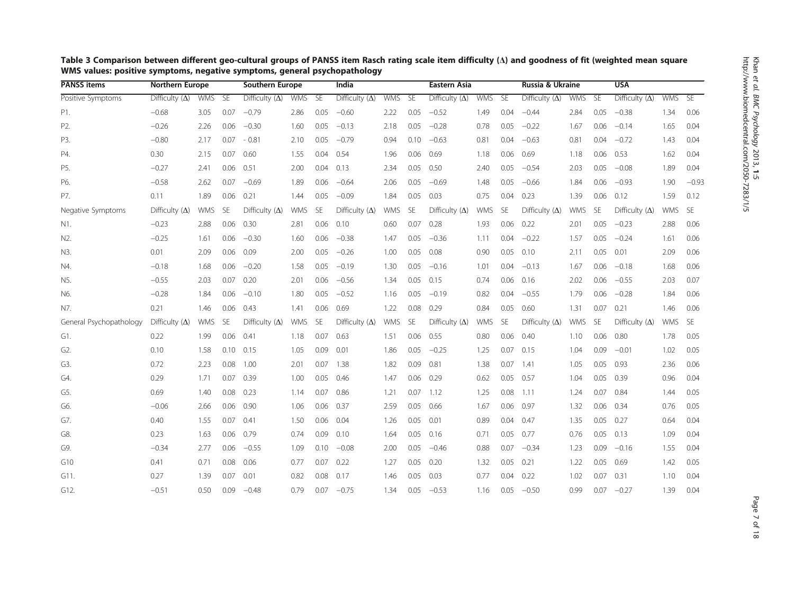| <b>PANSS items</b>      | <b>Northern Europe</b> |            | <b>Southern Europe</b> |                       | India      |           |                       | Eastern Asia |           |                       | Russia & Ukraine |           |                       | <b>USA</b> |           |                       |            |           |
|-------------------------|------------------------|------------|------------------------|-----------------------|------------|-----------|-----------------------|--------------|-----------|-----------------------|------------------|-----------|-----------------------|------------|-----------|-----------------------|------------|-----------|
| Positive Symptoms       | Difficulty $(\Delta)$  | <b>WMS</b> | <b>SE</b>              | Difficulty $(\Delta)$ | <b>WMS</b> | SE        | Difficulty $(\Delta)$ | <b>WMS</b>   | SE        | Difficulty $(\Delta)$ | <b>WMS</b>       | <b>SE</b> | Difficulty $(\Delta)$ | <b>WMS</b> | <b>SE</b> | Difficulty $(\Delta)$ | <b>WMS</b> | SE        |
| P1.                     | $-0.68$                | 3.05       | 0.07                   | $-0.79$               | 2.86       | 0.05      | $-0.60$               | 2.22         | 0.05      | $-0.52$               | 1.49             | 0.04      | $-0.44$               | 2.84       | 0.05      | $-0.38$               | 1.34       | 0.06      |
| P2.                     | $-0.26$                | 2.26       | 0.06                   | $-0.30$               | 1.60       | 0.05      | $-0.13$               | 2.18         | 0.05      | $-0.28$               | 0.78             | 0.05      | $-0.22$               | 1.67       | 0.06      | $-0.14$               | 1.65       | 0.04      |
| P3.                     | $-0.80$                | 2.17       | 0.07                   | $-0.81$               | 2.10       | 0.05      | $-0.79$               | 0.94         | 0.10      | $-0.63$               | 0.81             | 0.04      | $-0.63$               | 0.81       | 0.04      | $-0.72$               | 1.43       | 0.04      |
| P4.                     | 0.30                   | 2.15       | 0.07                   | 0.60                  | 1.55       | 0.04      | 0.54                  | 1.96         | 0.06      | 0.69                  | 1.18             | 0.06      | 0.69                  | 1.18       | 0.06      | 0.53                  | 1.62       | 0.04      |
| P5.                     | $-0.27$                | 2.41       | 0.06                   | 0.51                  | 2.00       | 0.04      | 0.13                  | 2.34         | 0.05      | 0.50                  | 2.40             | 0.05      | $-0.54$               | 2.03       | 0.05      | $-0.08$               | 1.89       | 0.04      |
| P6.                     | $-0.58$                | 2.62       | 0.07                   | $-0.69$               | 1.89       | 0.06      | $-0.64$               | 2.06         | 0.05      | $-0.69$               | 1.48             | 0.05      | $-0.66$               | 1.84       | 0.06      | $-0.93$               | 1.90       | $-0.93$   |
| P7.                     | 0.11                   | 1.89       | 0.06                   | 0.21                  | 1.44       | 0.05      | $-0.09$               | 1.84         | 0.05      | 0.03                  | 0.75             | 0.04      | 0.23                  | 1.39       | 0.06      | 0.12                  | 1.59       | 0.12      |
| Negative Symptoms       | Difficulty $(\Delta)$  | <b>WMS</b> | SE                     | Difficulty $(\Delta)$ | <b>WMS</b> | <b>SE</b> | Difficulty $(\Delta)$ | <b>WMS</b>   | <b>SE</b> | Difficulty $(\Delta)$ | <b>WMS</b>       | <b>SE</b> | Difficulty $(\Delta)$ | <b>WMS</b> | <b>SE</b> | Difficulty $(\Delta)$ | <b>WMS</b> | <b>SE</b> |
| N1.                     | $-0.23$                | 2.88       | 0.06                   | 0.30                  | 2.81       | 0.06      | 0.10                  | 0.60         | 0.07      | 0.28                  | 1.93             | 0.06      | 0.22                  | 2.01       | 0.05      | $-0.23$               | 2.88       | 0.06      |
| N2.                     | $-0.25$                | 1.61       | 0.06                   | $-0.30$               | 1.60       | 0.06      | $-0.38$               | 1.47         | 0.05      | $-0.36$               | 1.11             | 0.04      | $-0.22$               | 1.57       | 0.05      | $-0.24$               | 1.61       | 0.06      |
| N3.                     | 0.01                   | 2.09       | 0.06                   | 0.09                  | 2.00       | 0.05      | $-0.26$               | 1.00         | 0.05      | 0.08                  | 0.90             | 0.05      | 0.10                  | 2.11       | 0.05      | 0.01                  | 2.09       | 0.06      |
| N4.                     | $-0.18$                | 1.68       | 0.06                   | $-0.20$               | 1.58       | 0.05      | $-0.19$               | 1.30         | 0.05      | $-0.16$               | 1.01             | 0.04      | $-0.13$               | 1.67       | 0.06      | $-0.18$               | 1.68       | 0.06      |
| N5.                     | $-0.55$                | 2.03       | 0.07                   | 0.20                  | 2.01       | 0.06      | $-0.56$               | 1.34         | 0.05      | 0.15                  | 0.74             | 0.06      | 0.16                  | 2.02       | 0.06      | $-0.55$               | 2.03       | 0.07      |
| N6.                     | $-0.28$                | 1.84       | 0.06                   | $-0.10$               | 1.80       | 0.05      | $-0.52$               | 1.16         | 0.05      | $-0.19$               | 0.82             | 0.04      | $-0.55$               | 1.79       | 0.06      | $-0.28$               | 1.84       | 0.06      |
| N7.                     | 0.21                   | 1.46       | 0.06                   | 0.43                  | 1.41       | 0.06      | 0.69                  | 1.22         | 0.08      | 0.29                  | 0.84             | 0.05      | 0.60                  | 1.31       | 0.07      | 0.21                  | 1.46       | 0.06      |
| General Psychopathology | Difficulty $(\Delta)$  | <b>WMS</b> | SE                     | Difficulty $(\Delta)$ | <b>WMS</b> | SE.       | Difficulty $(\Delta)$ | <b>WMS</b>   | <b>SE</b> | Difficulty $(\Delta)$ | <b>WMS</b>       | <b>SE</b> | Difficulty $(\Delta)$ | <b>WMS</b> | <b>SE</b> | Difficulty $(\Delta)$ | <b>WMS</b> | <b>SE</b> |
| G1.                     | 0.22                   | 1.99       | 0.06                   | 0.41                  | 1.18       | 0.07      | 0.63                  | 1.51         | 0.06      | 0.55                  | 0.80             | 0.06      | 0.40                  | 1.10       | 0.06      | 0.80                  | 1.78       | 0.05      |
| G <sub>2</sub>          | 0.10                   | 1.58       | 0.10                   | 0.15                  | 1.05       | 0.09      | 0.01                  | 1.86         | 0.05      | $-0.25$               | 1.25             | 0.07      | 0.15                  | 1.04       | 0.09      | $-0.01$               | 1.02       | 0.05      |
| G3.                     | 0.72                   | 2.23       | 0.08                   | 1.00                  | 2.01       | 0.07      | 1.38                  | 1.82         | 0.09      | 0.81                  | 1.38             | 0.07      | 1.41                  | 1.05       | 0.05      | 0.93                  | 2.36       | 0.06      |
| G4.                     | 0.29                   | 1.71       | 0.07                   | 0.39                  | 1.00       | 0.05      | 0.46                  | 1.47         | 0.06      | 0.29                  | 0.62             | 0.05      | 0.57                  | 1.04       | 0.05      | 0.39                  | 0.96       | 0.04      |
| G5.                     | 0.69                   | 1.40       | 0.08                   | 0.23                  | 1.14       | 0.07      | 0.86                  | 1.21         | 0.07      | 1.12                  | 1.25             | 0.08      | 1.11                  | 1.24       | 0.07      | 0.84                  | 1.44       | 0.05      |
| G6.                     | $-0.06$                | 2.66       | 0.06                   | 0.90                  | 1.06       | 0.06      | 0.37                  | 2.59         | 0.05      | 0.66                  | 1.67             | 0.06      | 0.97                  | 1.32       | 0.06      | 0.34                  | 0.76       | 0.05      |
| G7.                     | 0.40                   | 1.55       | 0.07                   | 0.41                  | 1.50       | 0.06      | 0.04                  | 1.26         | 0.05      | 0.01                  | 0.89             | 0.04      | 0.47                  | 1.35       | 0.05      | 0.27                  | 0.64       | 0.04      |
| G8.                     | 0.23                   | 1.63       | 0.06                   | 0.79                  | 0.74       | 0.09      | 0.10                  | 1.64         | 0.05      | 0.16                  | 0.71             | 0.05      | 0.77                  | 0.76       | 0.05      | 0.13                  | 1.09       | 0.04      |
| G9.                     | $-0.34$                | 2.77       | 0.06                   | $-0.55$               | 1.09       | 0.10      | $-0.08$               | 2.00         | 0.05      | $-0.46$               | 0.88             | 0.07      | $-0.34$               | 1.23       | 0.09      | $-0.16$               | 1.55       | 0.04      |
| G10                     | 0.41                   | 0.71       | 0.08                   | 0.06                  | 0.77       | 0.07      | 0.22                  | 1.27         | 0.05      | 0.20                  | 1.32             | 0.05      | 0.21                  | 1.22       | 0.05      | 0.69                  | 1.42       | 0.05      |
| G11.                    | 0.27                   | 1.39       | 0.07                   | 0.01                  | 0.82       | 0.08      | 0.17                  | 1.46         | 0.05      | 0.03                  | 0.77             | 0.04      | 0.22                  | 1.02       | 0.07      | 0.31                  | 1.10       | 0.04      |
| G12.                    | $-0.51$                | 0.50       | 0.09                   | $-0.48$               | 0.79       | 0.07      | $-0.75$               | 1.34         | 0.05      | $-0.53$               | 1.16             | 0.05      | $-0.50$               | 0.99       | 0.07      | $-0.27$               | 1.39       | 0.04      |

<span id="page-6-0"></span>Table 3 Comparison between different geo-cultural groups of PANSS item Rasch rating scale item difficulty (Δ) and goodness of fit (weighted mean square WMS values: positive symptoms, negative symptoms, general psychopathology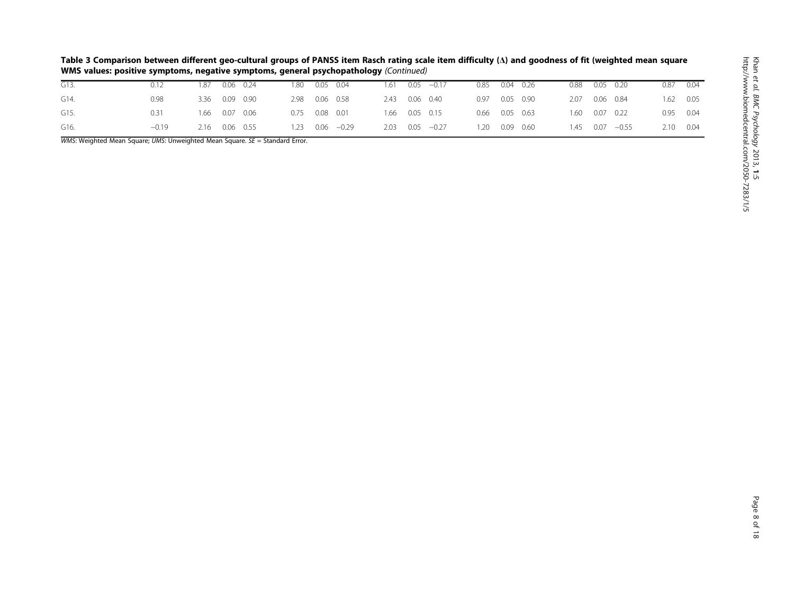| Table 3 Comparison between different geo-cultural groups of PANSS item Rasch rating scale item difficulty (A) and goodness of fit (weighted mean square |
|---------------------------------------------------------------------------------------------------------------------------------------------------------|
| WMS values: positive symptoms, negative symptoms, general psychopathology (Continued)                                                                   |

| $\overline{G13}$ . | 0.12    | 1.87           | 0.06 0.24 | 1.80  0.05  0.04 |                     | 1.61           | 0.05 | $-0.17$               | 0.85                 | $0.04$ 0.26 | 0.88 0.05 0.20   |                     | 0.87      | 0.04 |
|--------------------|---------|----------------|-----------|------------------|---------------------|----------------|------|-----------------------|----------------------|-------------|------------------|---------------------|-----------|------|
| G14.               | 0.98    | 3.36 0.09 0.90 |           | 2.98 0.06 0.58   |                     | 2.43 0.06 0.40 |      |                       | 0.97 0.05 0.90       |             | 2.07 0.06 0.84   |                     | 1.62 0.05 |      |
| G15.               | 0.31    | 1.66 0.07 0.06 |           | 0.75 0.08 0.01   |                     | 1.66 0.05 0.15 |      |                       | $0.66$ $0.05$ $0.63$ |             | 1.60  0.07  0.22 |                     | 0.95 0.04 |      |
| G16.               | $-0.19$ | 2.16 0.06 0.55 |           |                  | $1.23$ 0.06 $-0.29$ |                |      | $2.03$ $0.05$ $-0.27$ | 1.20 0.09 0.60       |             |                  | $1.45$ 0.07 $-0.55$ | 2.10      | 0.04 |

 $\overline{WMS}$ : Weighted Mean Square; UMS: Unweighted Mean Square.  $SE =$  Standard Error.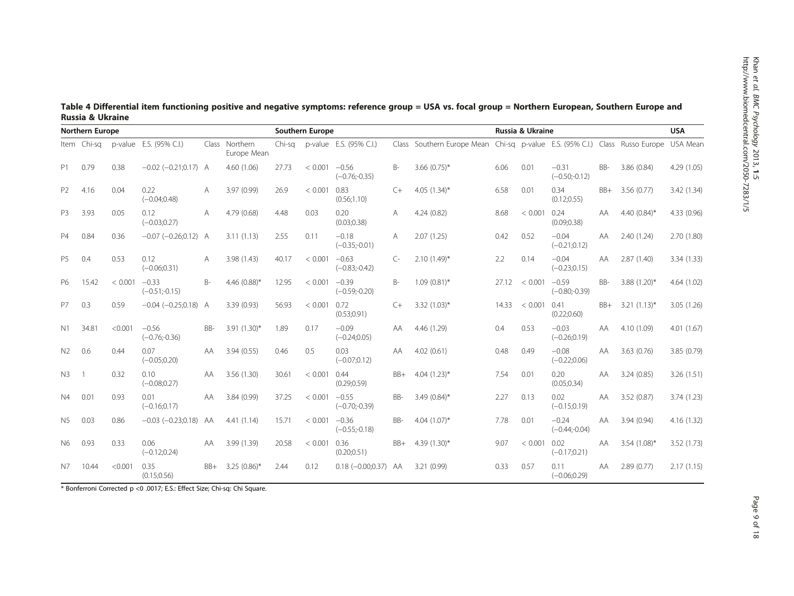|                | <b>Northern Europe</b> |         |                             |                |                         |        | Southern Europe  |                             |                        |                                                                        | Russia & Ukraine | <b>USA</b> |                             |       |                 |             |
|----------------|------------------------|---------|-----------------------------|----------------|-------------------------|--------|------------------|-----------------------------|------------------------|------------------------------------------------------------------------|------------------|------------|-----------------------------|-------|-----------------|-------------|
|                | Item Chi-sa            |         | p-value E.S. (95% C.I.)     | Class          | Northern<br>Europe Mean | Chi-sa |                  | p-value E.S. (95% C.I.)     | Class                  | Southern Europe Mean Chi-sg p-value E.S. (95% C.I.) Class Russo Europe |                  |            |                             |       |                 | USA Mean    |
| P1             | 0.79                   | 0.38    | $-0.02$ $(-0.21;0.17)$ A    |                | 4.60 (1.06)             | 27.73  | $< 0.001 - 0.56$ | $(-0.76; -0.35)$            | $B -$                  | $3.66$ (0.75)*                                                         | 6.06             | 0.01       | $-0.31$<br>$(-0.50; -0.12)$ | BB-   | 3.86 (0.84)     | 4.29 (1.05) |
| P <sub>2</sub> | 4.16                   | 0.04    | 0.22<br>$(-0.04; 0.48)$     | A              | 3.97 (0.99)             | 26.9   | < 0.001          | 0.83<br>(0.56;1.10)         | $C+$                   | 4.05 $(1.34)^*$                                                        | 6.58             | 0.01       | 0.34<br>(0.12; 0.55)        | $BB+$ | 3.56(0.77)      | 3.42 (1.34) |
| P3             | 3.93                   | 0.05    | 0.12<br>$(-0.03;0.27)$      | $\overline{A}$ | 4.79 (0.68)             | 4.48   | 0.03             | 0.20<br>(0.03; 0.38)        | Α                      | 4.24(0.82)                                                             | 8.68             | < 0.001    | 0.24<br>(0.09; 0.38)        | AA    | 4.40 $(0.84)$ * | 4.33 (0.96) |
| P <sub>4</sub> | 0.84                   | 0.36    | $-0.07$ $(-0.26;0.12)$ A    |                | 3.11(1.13)              | 2.55   | 0.11             | $-0.18$<br>$(-0.35; -0.01)$ | A                      | 2.07(1.25)                                                             | 0.42             | 0.52       | $-0.04$<br>$(-0.21;0.12)$   | AA    | 2.40(1.24)      | 2.70 (1.80) |
| <b>P5</b>      | 0.4                    | 0.53    | 0.12<br>$(-0.06; 0.31)$     | A              | 3.98 (1.43)             | 40.17  | < 0.001          | $-0.63$<br>$(-0.83; -0.42)$ | $\mathsf{C}\mathsf{-}$ | $2.10(1.49)$ *                                                         | 2.2              | 0.14       | $-0.04$<br>$(-0.23;0.15)$   | AA    | 2.87(1.40)      | 3.34 (1.33) |
| P6             | 15.42                  | < 0.001 | $-0.33$<br>$(-0.51; -0.15)$ | $B -$          | 4.46 $(0.88)$ *         | 12.95  | $< 0.001 -0.39$  | $(-0.59; -0.20)$            | $B -$                  | $1.09(0.81)$ *                                                         | 27.12            | < 0.001    | $-0.59$<br>$(-0.80; -0.39)$ | BB-   | $3.88(1.20)$ *  | 4.64 (1.02) |
| <b>P7</b>      | 0.3                    | 0.59    | $-0.04$ $(-0.25;0.18)$      | $\overline{A}$ | 3.39(0.93)              | 56.93  | < 0.001          | 0.72<br>(0.53; 0.91)        | $C_{+}$                | $3.32(1.03)*$                                                          | 14.33            | < 0.001    | 0.41<br>(0.22; 0.60)        | BB+   | $3.21(1.13)^*$  | 3.05 (1.26) |
| N1             | 34.81                  | < 0.001 | $-0.56$<br>$(-0.76; -0.36)$ | BB-            | 3.91 (1.30)*            | 1.89   | 0.17             | $-0.09$<br>$(-0.24;0.05)$   | AA                     | 4.46 (1.29)                                                            | 0.4              | 0.53       | $-0.03$<br>$(-0.26;0.19)$   | AA    | 4.10 (1.09)     | 4.01(1.67)  |
| N <sub>2</sub> | 0.6                    | 0.44    | 0.07<br>$(-0.05;0.20)$      | AA             | 3.94(0.55)              | 0.46   | 0.5              | 0.03<br>$(-0.07;0.12)$      | AA                     | 4.02(0.61)                                                             | 0.48             | 0.49       | $-0.08$<br>$(-0.22;0.06)$   | AA    | 3.63(0.76)      | 3.85 (0.79) |
| N <sub>3</sub> |                        | 0.32    | 0.10<br>$(-0.08;0.27)$      | AA             | 3.56 (1.30)             | 30.61  | < 0.001          | 0.44<br>(0.29; 0.59)        | BB+                    | $4.04(1.23)$ *                                                         | 7.54             | 0.01       | 0.20<br>(0.05; 0.34)        | AA    | 3.24(0.85)      | 3.26(1.51)  |
| N4             | 0.01                   | 0.93    | 0.01<br>$(-0.16;0.17)$      | AA             | 3.84 (0.99)             | 37.25  | < 0.001          | $-0.55$<br>$(-0.70; -0.39)$ | BB-                    | $3.49(0.84)$ *                                                         | 2.27             | 0.13       | 0.02<br>$(-0.15;0.19)$      | AA    | 3.52 (0.87)     | 3.74 (1.23) |
| N <sub>5</sub> | 0.03                   | 0.86    | $-0.03$ $(-0.23;0.18)$      | AA             | 4.41(1.14)              | 15.71  | < 0.001          | $-0.36$<br>$(-0.55,-0.18)$  | BB-                    | 4.04 (1.07)*                                                           | 7.78             | 0.01       | $-0.24$<br>$(-0.44; -0.04)$ | AA    | 3.94(0.94)      | 4.16 (1.32) |
| N6             | 0.93                   | 0.33    | 0.06<br>$(-0.12;0.24)$      | AA             | 3.99 (1.39)             | 20.58  | < 0.001          | 0.36<br>(0.20; 0.51)        | $BB+$                  | $4.39(1.30)^{*}$                                                       | 9.07             | < 0.001    | 0.02<br>$(-0.17;0.21)$      | AA    | $3.54$ (1.08)*  | 3.52 (1.73) |
| N <sub>7</sub> | 10.44                  | < 0.001 | 0.35<br>(0.15; 0.56)        | $BB+$          | $3.25(0.86)$ *          | 2.44   | 0.12             | $0.18 (-0.00; 0.37)$        | AA                     | 3.21(0.99)                                                             | 0.33             | 0.57       | 0.11<br>$(-0.06;0.29)$      | AA    | 2.89(0.77)      | 2.17(1.15)  |

<span id="page-8-0"></span>Table 4 Differential item functioning positive and negative symptoms: reference group = USA vs. focal group = Northern European, Southern Europe and Russia & Ukraine

\* Bonferroni Corrected p <0 .0017; E.S.: Effect Size; Chi-sq: Chi Square.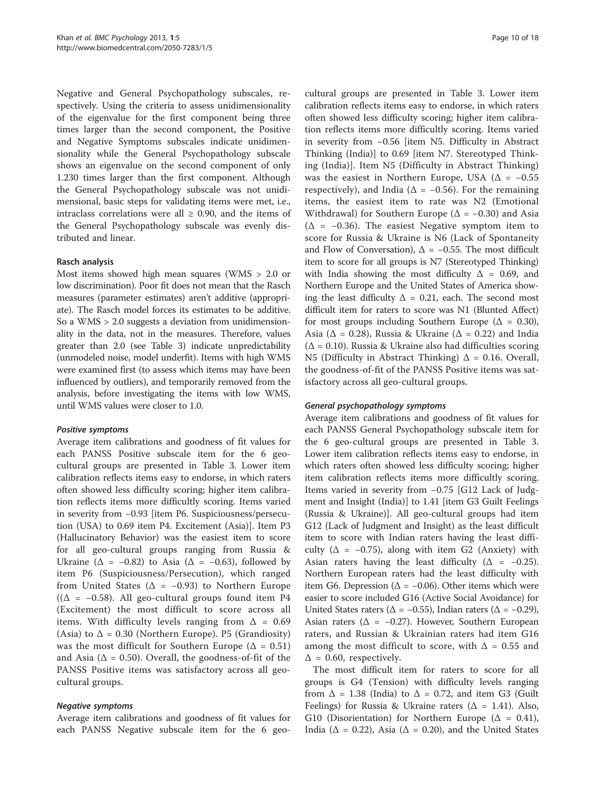Negative and General Psychopathology subscales, respectively. Using the criteria to assess unidimensionality of the eigenvalue for the first component being three times larger than the second component, the Positive and Negative Symptoms subscales indicate unidimensionality while the General Psychopathology subscale shows an eigenvalue on the second component of only 1.230 times larger than the first component. Although the General Psychopathology subscale was not unidimensional, basic steps for validating items were met, i.e., intraclass correlations were all  $\geq$  0.90, and the items of the General Psychopathology subscale was evenly distributed and linear.

## Rasch analysis

Most items showed high mean squares (WMS > 2.0 or low discrimination). Poor fit does not mean that the Rasch measures (parameter estimates) aren't additive (appropriate). The Rasch model forces its estimates to be additive. So a WMS > 2.0 suggests a deviation from unidimensionality in the data, not in the measures. Therefore, values greater than 2.0 (see Table [3\)](#page-6-0) indicate unpredictability (unmodeled noise, model underfit). Items with high WMS were examined first (to assess which items may have been influenced by outliers), and temporarily removed from the analysis, before investigating the items with low WMS, until WMS values were closer to 1.0.

Average item calibrations and goodness of fit values for each PANSS Positive subscale item for the 6 geocultural groups are presented in Table [3](#page-6-0). Lower item calibration reflects items easy to endorse, in which raters often showed less difficulty scoring; higher item calibration reflects items more difficultly scoring. Items varied in severity from −0.93 [item P6. Suspiciousness/persecution (USA) to 0.69 item P4. Excitement (Asia)]. Item P3 (Hallucinatory Behavior) was the easiest item to score for all geo-cultural groups ranging from Russia & Ukraine ( $\Delta$  = -0.82) to Asia ( $\Delta$  = -0.63), followed by item P6 (Suspiciousness/Persecution), which ranged from United States ( $\Delta$  = -0.93) to Northern Europe  $((\Delta = -0.58)$ . All geo-cultural groups found item P4 (Excitement) the most difficult to score across all items. With difficulty levels ranging from  $\Delta = 0.69$ (Asia) to  $\Delta$  = 0.30 (Northern Europe). P5 (Grandiosity) was the most difficult for Southern Europe ( $\Delta = 0.51$ ) and Asia ( $\Delta = 0.50$ ). Overall, the goodness-of-fit of the PANSS Positive items was satisfactory across all geocultural groups.

Average item calibrations and goodness of fit values for each PANSS Negative subscale item for the 6 geo-

cultural groups are presented in Table [3](#page-6-0). Lower item calibration reflects items easy to endorse, in which raters often showed less difficulty scoring; higher item calibration reflects items more difficultly scoring. Items varied in severity from −0.56 [item N5. Difficulty in Abstract Thinking (India)] to 0.69 [item N7. Stereotyped Thinking (India)]. Item N5 (Difficulty in Abstract Thinking) was the easiest in Northern Europe, USA ( $\Delta$  = -0.55 respectively), and India ( $\Delta = -0.56$ ). For the remaining items, the easiest item to rate was N2 (Emotional Withdrawal) for Southern Europe ( $\Delta$  = -0.30) and Asia  $(\Delta = -0.36)$ . The easiest Negative symptom item to score for Russia & Ukraine is N6 (Lack of Spontaneity and Flow of Conversation),  $\Delta$  = -0.55. The most difficult item to score for all groups is N7 (Stereotyped Thinking) with India showing the most difficulty  $\Delta = 0.69$ , and Northern Europe and the United States of America showing the least difficulty  $\Delta = 0.21$ , each. The second most difficult item for raters to score was N1 (Blunted Affect) for most groups including Southern Europe ( $\Delta = 0.30$ ), Asia ( $\Delta = 0.28$ ), Russia & Ukraine ( $\Delta = 0.22$ ) and India  $(\Delta = 0.10)$ . Russia & Ukraine also had difficulties scoring N5 (Difficulty in Abstract Thinking)  $\Delta = 0.16$ . Overall, the goodness-of-fit of the PANSS Positive items was satisfactory across all geo-cultural groups.

Average item calibrations and goodness of fit values for each PANSS General Psychopathology subscale item for the 6 geo-cultural groups are presented in Table [3](#page-6-0). Lower item calibration reflects items easy to endorse, in which raters often showed less difficulty scoring; higher item calibration reflects items more difficultly scoring. Items varied in severity from −0.75 [G12 Lack of Judgment and Insight (India)] to 1.41 [item G3 Guilt Feelings (Russia & Ukraine)]. All geo-cultural groups had item G12 (Lack of Judgment and Insight) as the least difficult item to score with Indian raters having the least difficulty ( $\Delta$  = -0.75), along with item G2 (Anxiety) with Asian raters having the least difficulty ( $\Delta$  = -0.25). Northern European raters had the least difficulty with item G6. Depression ( $\Delta = -0.06$ ). Other items which were easier to score included G16 (Active Social Avoidance) for United States raters ( $\Delta = -0.55$ ), Indian raters ( $\Delta = -0.29$ ), Asian raters ( $\Delta$  = -0.27). However, Southern European raters, and Russian & Ukrainian raters had item G16 among the most difficult to score, with  $\Delta = 0.55$  and  $\Delta = 0.60$ , respectively.

The most difficult item for raters to score for all groups is G4 (Tension) with difficulty levels ranging from  $\Delta = 1.38$  (India) to  $\Delta = 0.72$ , and item G3 (Guilt Feelings) for Russia & Ukraine raters ( $\Delta = 1.41$ ). Also, G10 (Disorientation) for Northern Europe ( $\Delta = 0.41$ ), India ( $\Delta = 0.22$ ), Asia ( $\Delta = 0.20$ ), and the United States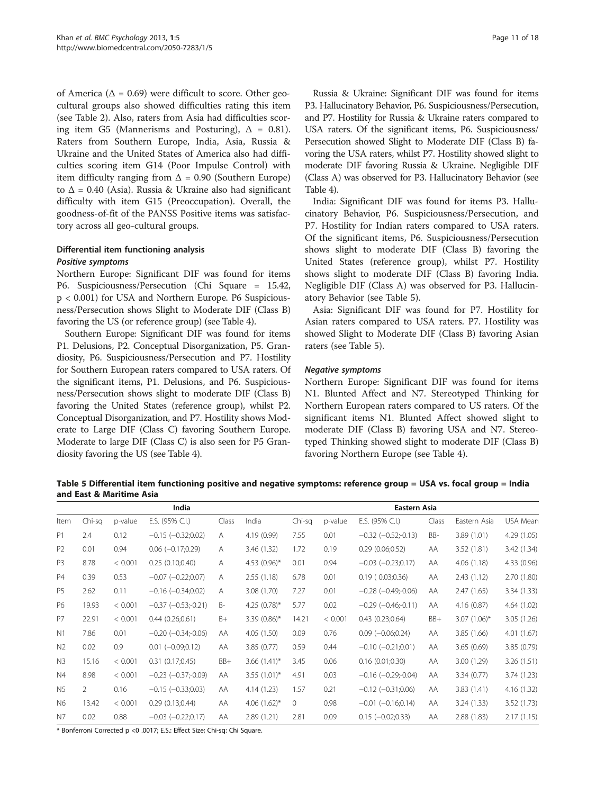<span id="page-10-0"></span>of America ( $\Delta = 0.69$ ) were difficult to score. Other geocultural groups also showed difficulties rating this item (see Table [2](#page-5-0)). Also, raters from Asia had difficulties scoring item G5 (Mannerisms and Posturing),  $\Delta = 0.81$ ). Raters from Southern Europe, India, Asia, Russia & Ukraine and the United States of America also had difficulties scoring item G14 (Poor Impulse Control) with item difficulty ranging from  $\Delta = 0.90$  (Southern Europe) to  $\Delta$  = 0.40 (Asia). Russia & Ukraine also had significant difficulty with item G15 (Preoccupation). Overall, the goodness-of-fit of the PANSS Positive items was satisfactory across all geo-cultural groups.

# Differential item functioning analysis

Northern Europe: Significant DIF was found for items P6. Suspiciousness/Persecution (Chi Square = 15.42, p < 0.001) for USA and Northern Europe. P6 Suspiciousness/Persecution shows Slight to Moderate DIF (Class B) favoring the US (or reference group) (see Table [4](#page-8-0)).

Southern Europe: Significant DIF was found for items P1. Delusions, P2. Conceptual Disorganization, P5. Grandiosity, P6. Suspiciousness/Persecution and P7. Hostility for Southern European raters compared to USA raters. Of the significant items, P1. Delusions, and P6. Suspiciousness/Persecution shows slight to moderate DIF (Class B) favoring the United States (reference group), whilst P2. Conceptual Disorganization, and P7. Hostility shows Moderate to Large DIF (Class C) favoring Southern Europe. Moderate to large DIF (Class C) is also seen for P5 Grandiosity favoring the US (see Table [4\)](#page-8-0).

Russia & Ukraine: Significant DIF was found for items P3. Hallucinatory Behavior, P6. Suspiciousness/Persecution, and P7. Hostility for Russia & Ukraine raters compared to USA raters. Of the significant items, P6. Suspiciousness/ Persecution showed Slight to Moderate DIF (Class B) favoring the USA raters, whilst P7. Hostility showed slight to moderate DIF favoring Russia & Ukraine. Negligible DIF (Class A) was observed for P3. Hallucinatory Behavior (see Table [4](#page-8-0)).

India: Significant DIF was found for items P3. Hallucinatory Behavior, P6. Suspiciousness/Persecution, and P7. Hostility for Indian raters compared to USA raters. Of the significant items, P6. Suspiciousness/Persecution shows slight to moderate DIF (Class B) favoring the United States (reference group), whilst P7. Hostility shows slight to moderate DIF (Class B) favoring India. Negligible DIF (Class A) was observed for P3. Hallucinatory Behavior (see Table 5).

Asia: Significant DIF was found for P7. Hostility for Asian raters compared to USA raters. P7. Hostility was showed Slight to Moderate DIF (Class B) favoring Asian raters (see Table 5).

Northern Europe: Significant DIF was found for items N1. Blunted Affect and N7. Stereotyped Thinking for Northern European raters compared to US raters. Of the significant items N1. Blunted Affect showed slight to moderate DIF (Class B) favoring USA and N7. Stereotyped Thinking showed slight to moderate DIF (Class B) favoring Northern Europe (see Table [4](#page-8-0)).

Table 5 Differential item functioning positive and negative symptoms: reference group = USA vs. focal group = India and East & Maritime Asia

|                |                |         | India                    |       |                  | Eastern Asia |         |                           |       |                |             |  |  |  |  |  |
|----------------|----------------|---------|--------------------------|-------|------------------|--------------|---------|---------------------------|-------|----------------|-------------|--|--|--|--|--|
| Item           | Chi-sa         | p-value | E.S. (95% C.I.)          | Class | India            | Chi-sa       | p-value | E.S. (95% C.I.)           | Class | Eastern Asia   | USA Mean    |  |  |  |  |  |
| P1             | 2.4            | 0.12    | $-0.15$ $(-0.32;0.02)$   | A     | 4.19(0.99)       | 7.55         | 0.01    | $-0.32$ $(-0.52,-0.13)$   | BB-   | 3.89(1.01)     | 4.29 (1.05) |  |  |  |  |  |
| P <sub>2</sub> | 0.01           | 0.94    | $0.06$ ( $-0.17;0.29$ )  | A     | 3.46(1.32)       | 1.72         | 0.19    | 0.29(0.06;0.52)           | AA    | 3.52(1.81)     | 3.42(1.34)  |  |  |  |  |  |
| P <sub>3</sub> | 8.78           | < 0.001 | 0.25(0.10;0.40)          | A     | 4.53 $(0.96)$ *  | 0.01         | 0.94    | $-0.03$ $(-0.23;0.17)$    | AA    | 4.06(1.18)     | 4.33(0.96)  |  |  |  |  |  |
| <b>P4</b>      | 0.39           | 0.53    | $-0.07$ $(-0.22;0.07)$   | A     | 2.55(1.18)       | 6.78         | 0.01    | 0.19(0.03;0.36)           | AA    | 2.43(1.12)     | 2.70(1.80)  |  |  |  |  |  |
| <b>P5</b>      | 2.62           | 0.11    | $-0.16$ $(-0.34;0.02)$   | Α     | 3.08(1.70)       | 7.27         | 0.01    | $-0.28$ $(-0.49; -0.06)$  | AA    | 2.47(1.65)     | 3.34(1.33)  |  |  |  |  |  |
| P6             | 19.93          | < 0.001 | $-0.37$ $(-0.53; -0.21)$ | $B -$ | 4.25 $(0.78)$ *  | 5.77         | 0.02    | $-0.29$ ( $-0.46$ ;-0.11) | AA    | 4.16(0.87)     | 4.64 (1.02) |  |  |  |  |  |
| P7             | 22.91          | < 0.001 | 0.44(0.26;0.61)          | B+    | 3.39 (0.86)*     | 14.21        | < 0.001 | 0.43(0.23;0.64)           | BB+   | $3.07(1.06)^*$ | 3.05(1.26)  |  |  |  |  |  |
| N1             | 7.86           | 0.01    | $-0.20$ $(-0.34; -0.06)$ | AA    | 4.05(1.50)       | 0.09         | 0.76    | $0.09$ ( $-0.06;0.24$ )   | AA    | 3.85 (1.66)    | 4.01(1.67)  |  |  |  |  |  |
| N <sub>2</sub> | 0.02           | 0.9     | $0.01$ $(-0.09;0.12)$    | AA    | 3.85(0.77)       | 0.59         | 0.44    | $-0.10$ ( $-0.21;0.01$ )  | AA    | 3.65(0.69)     | 3.85(0.79)  |  |  |  |  |  |
| N3             | 15.16          | < 0.001 | 0.31(0.17;0.45)          | BB+   | $3.66(1.41)^{*}$ | 3.45         | 0.06    | 0.16(0.01;0.30)           | AA    | 3.00(1.29)     | 3.26(1.51)  |  |  |  |  |  |
| N4             | 8.98           | < 0.001 | $-0.23$ $(-0.37; -0.09)$ | AA    | $3.55(1.01)^{*}$ | 4.91         | 0.03    | $-0.16$ ( $-0.29$ ;-0.04) | AA    | 3.34(0.77)     | 3.74(1.23)  |  |  |  |  |  |
| N5             | $\overline{2}$ | 0.16    | $-0.15$ $(-0.33;0.03)$   | AA    | 4.14(1.23)       | 1.57         | 0.21    | $-0.12$ ( $-0.31;0.06$ )  | AA    | 3.83(1.41)     | 4.16(1.32)  |  |  |  |  |  |
| N6             | 13.42          | < 0.001 | 0.29(0.13;0.44)          | AA    | 4.06 $(1.62)^*$  | $\mathbf{0}$ | 0.98    | $-0.01$ $(-0.16;0.14)$    | AA    | 3.24(1.33)     | 3.52(1.73)  |  |  |  |  |  |
| N7             | 0.02           | 0.88    | $-0.03$ $(-0.22;0.17)$   | AA    | 2.89(1.21)       | 2.81         | 0.09    | $0.15 (-0.02; 0.33)$      | AA    | 2.88(1.83)     | 2.17(1.15)  |  |  |  |  |  |

\* Bonferroni Corrected p <0 .0017; E.S.: Effect Size; Chi-sq: Chi Square.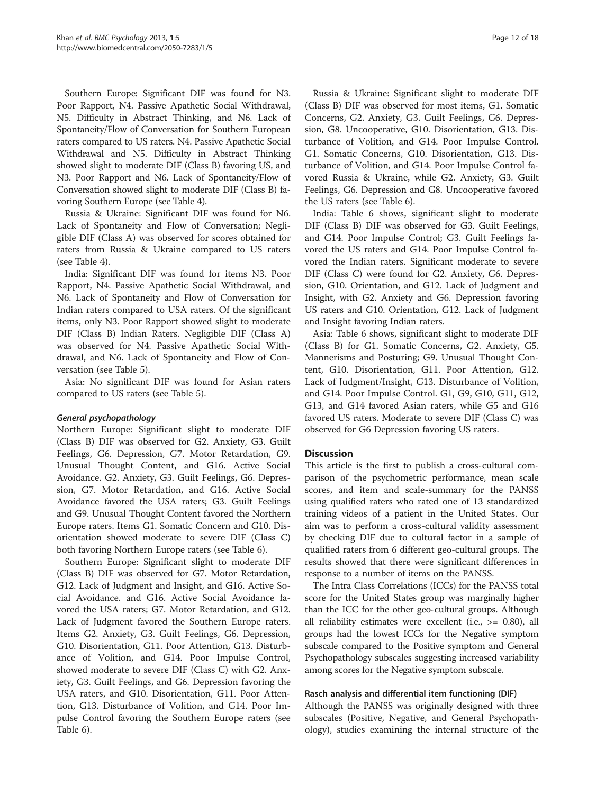Southern Europe: Significant DIF was found for N3. Poor Rapport, N4. Passive Apathetic Social Withdrawal, N5. Difficulty in Abstract Thinking, and N6. Lack of Spontaneity/Flow of Conversation for Southern European raters compared to US raters. N4. Passive Apathetic Social Withdrawal and N5. Difficulty in Abstract Thinking showed slight to moderate DIF (Class B) favoring US, and N3. Poor Rapport and N6. Lack of Spontaneity/Flow of Conversation showed slight to moderate DIF (Class B) favoring Southern Europe (see Table [4\)](#page-8-0).

Russia & Ukraine: Significant DIF was found for N6. Lack of Spontaneity and Flow of Conversation; Negligible DIF (Class A) was observed for scores obtained for raters from Russia & Ukraine compared to US raters (see Table [4\)](#page-8-0).

India: Significant DIF was found for items N3. Poor Rapport, N4. Passive Apathetic Social Withdrawal, and N6. Lack of Spontaneity and Flow of Conversation for Indian raters compared to USA raters. Of the significant items, only N3. Poor Rapport showed slight to moderate DIF (Class B) Indian Raters. Negligible DIF (Class A) was observed for N4. Passive Apathetic Social Withdrawal, and N6. Lack of Spontaneity and Flow of Conversation (see Table [5\)](#page-10-0).

Asia: No significant DIF was found for Asian raters compared to US raters (see Table [5\)](#page-10-0).

Northern Europe: Significant slight to moderate DIF (Class B) DIF was observed for G2. Anxiety, G3. Guilt Feelings, G6. Depression, G7. Motor Retardation, G9. Unusual Thought Content, and G16. Active Social Avoidance. G2. Anxiety, G3. Guilt Feelings, G6. Depression, G7. Motor Retardation, and G16. Active Social Avoidance favored the USA raters; G3. Guilt Feelings and G9. Unusual Thought Content favored the Northern Europe raters. Items G1. Somatic Concern and G10. Disorientation showed moderate to severe DIF (Class C) both favoring Northern Europe raters (see Table [6\)](#page-12-0).

Southern Europe: Significant slight to moderate DIF (Class B) DIF was observed for G7. Motor Retardation, G12. Lack of Judgment and Insight, and G16. Active Social Avoidance. and G16. Active Social Avoidance favored the USA raters; G7. Motor Retardation, and G12. Lack of Judgment favored the Southern Europe raters. Items G2. Anxiety, G3. Guilt Feelings, G6. Depression, G10. Disorientation, G11. Poor Attention, G13. Disturbance of Volition, and G14. Poor Impulse Control, showed moderate to severe DIF (Class C) with G2. Anxiety, G3. Guilt Feelings, and G6. Depression favoring the USA raters, and G10. Disorientation, G11. Poor Attention, G13. Disturbance of Volition, and G14. Poor Impulse Control favoring the Southern Europe raters (see Table [6\)](#page-12-0).

Russia & Ukraine: Significant slight to moderate DIF (Class B) DIF was observed for most items, G1. Somatic Concerns, G2. Anxiety, G3. Guilt Feelings, G6. Depression, G8. Uncooperative, G10. Disorientation, G13. Disturbance of Volition, and G14. Poor Impulse Control. G1. Somatic Concerns, G10. Disorientation, G13. Disturbance of Volition, and G14. Poor Impulse Control favored Russia & Ukraine, while G2. Anxiety, G3. Guilt Feelings, G6. Depression and G8. Uncooperative favored the US raters (see Table [6\)](#page-12-0).

India: Table [6](#page-12-0) shows, significant slight to moderate DIF (Class B) DIF was observed for G3. Guilt Feelings, and G14. Poor Impulse Control; G3. Guilt Feelings favored the US raters and G14. Poor Impulse Control favored the Indian raters. Significant moderate to severe DIF (Class C) were found for G2. Anxiety, G6. Depression, G10. Orientation, and G12. Lack of Judgment and Insight, with G2. Anxiety and G6. Depression favoring US raters and G10. Orientation, G12. Lack of Judgment and Insight favoring Indian raters.

Asia: Table [6](#page-12-0) shows, significant slight to moderate DIF (Class B) for G1. Somatic Concerns, G2. Anxiety, G5. Mannerisms and Posturing; G9. Unusual Thought Content, G10. Disorientation, G11. Poor Attention, G12. Lack of Judgment/Insight, G13. Disturbance of Volition, and G14. Poor Impulse Control. G1, G9, G10, G11, G12, G13, and G14 favored Asian raters, while G5 and G16 favored US raters. Moderate to severe DIF (Class C) was observed for G6 Depression favoring US raters.

# **Discussion**

This article is the first to publish a cross-cultural comparison of the psychometric performance, mean scale scores, and item and scale-summary for the PANSS using qualified raters who rated one of 13 standardized training videos of a patient in the United States. Our aim was to perform a cross-cultural validity assessment by checking DIF due to cultural factor in a sample of qualified raters from 6 different geo-cultural groups. The results showed that there were significant differences in response to a number of items on the PANSS.

The Intra Class Correlations (ICCs) for the PANSS total score for the United States group was marginally higher than the ICC for the other geo-cultural groups. Although all reliability estimates were excellent (i.e., >= 0.80), all groups had the lowest ICCs for the Negative symptom subscale compared to the Positive symptom and General Psychopathology subscales suggesting increased variability among scores for the Negative symptom subscale.

## Rasch analysis and differential item functioning (DIF)

Although the PANSS was originally designed with three subscales (Positive, Negative, and General Psychopathology), studies examining the internal structure of the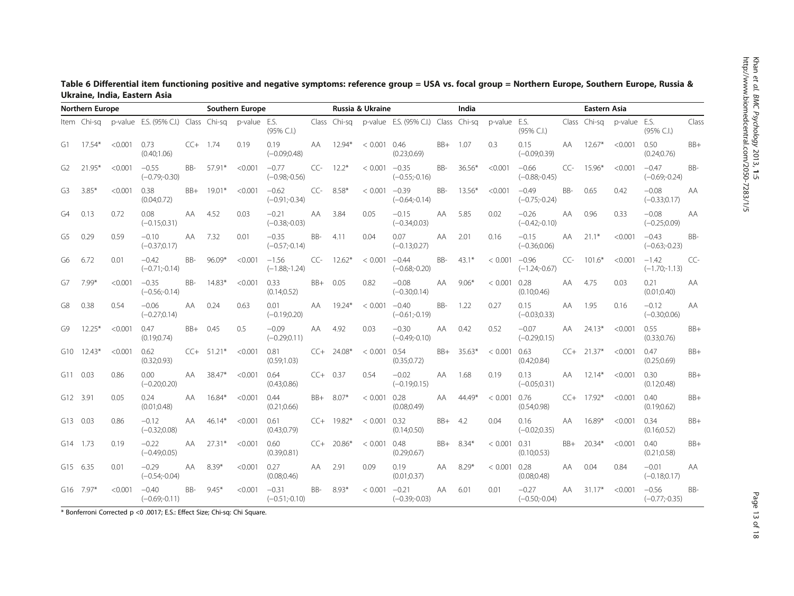<span id="page-12-0"></span>

| Table 6 Differential item functioning positive and negative symptoms: reference group = USA vs. focal group = Northern Europe, Southern Europe, Russia & |  |
|----------------------------------------------------------------------------------------------------------------------------------------------------------|--|
| Ukraine, India, Eastern Asia                                                                                                                             |  |

|          | <b>Northern Europe</b> |         |                                      |      | <b>Southern Europe</b> |              |                             |       |              | Russia & Ukraine |                                      |       | India    |                |                             |       | <b>Eastern Asia</b> |              |                             |       |  |
|----------|------------------------|---------|--------------------------------------|------|------------------------|--------------|-----------------------------|-------|--------------|------------------|--------------------------------------|-------|----------|----------------|-----------------------------|-------|---------------------|--------------|-----------------------------|-------|--|
|          | Item Chi-sa            |         | p-value E.S. (95% C.I.) Class Chi-sq |      |                        | p-value E.S. | $(95\%$ C.I.)               |       | Class Chi-sg |                  | p-value E.S. (95% C.I.) Class Chi-sq |       |          | p-value E.S.   | $(95\%$ C.I.)               |       | Class Chi-sg        | p-value E.S. | (95% C.I.)                  | Class |  |
| G1       | $17.54*$               | < 0.001 | 0.73<br>(0.40;1.06)                  |      | $CC+ 1.74$             | 0.19         | 0.19<br>$(-0.09;0.48)$      | AA    | 12.94*       | $< 0.001$ 0.46   | (0.23; 0.69)                         | BB+   | 1.07     | 0.3            | 0.15<br>$(-0.09;0.39)$      | AA    | $12.67*$            | < 0.001      | 0.50<br>(0.24; 0.76)        | BB+   |  |
| G2       | 21.95*                 | < 0.001 | $-0.55$<br>$(-0.79; -0.30)$          | BB-  | 57.91*                 | < 0.001      | $-0.77$<br>$(-0.98; -0.56)$ | CC-   | $12.2*$      | < 0.001          | $-0.35$<br>$(-0.55; -0.16)$          | BB-   | 36.56*   | < 0.001        | $-0.66$<br>$(-0.88; -0.45)$ | $CC-$ | 15.96*              | < 0.001      | $-0.47$<br>$(-0.69; -0.24)$ | BB-   |  |
| G3       | $3.85*$                | < 0.001 | 0.38<br>(0.04; 0.72)                 | BB+  | $19.01*$               | < 0.001      | $-0.62$<br>$(-0.91; -0.34)$ | CC-   | $8.58*$      | < 0.001          | $-0.39$<br>$(-0.64; -0.14)$          | BB-   | 13.56*   | < 0.001        | $-0.49$<br>$(-0.75; -0.24)$ | BB-   | 0.65                | 0.42         | $-0.08$<br>$(-0.33;0.17)$   | AA    |  |
| G4       | 0.13                   | 0.72    | 0.08<br>$(-0.15;0.31)$               | AA   | 4.52                   | 0.03         | $-0.21$<br>$(-0.38; -0.03)$ | AA    | 3.84         | 0.05             | $-0.15$<br>$(-0.34;0.03)$            | AA    | 5.85     | 0.02           | $-0.26$<br>$(-0.42; -0.10)$ | AA    | 0.96                | 0.33         | $-0.08$<br>$(-0.25;0.09)$   | AA    |  |
| G5       | 0.29                   | 0.59    | $-0.10$<br>$(-0.37;0.17)$            | AA   | 7.32                   | 0.01         | $-0.35$<br>$(-0.57; -0.14)$ | BB-   | 4.11         | 0.04             | 0.07<br>$(-0.13;0.27)$               | AA    | 2.01     | 0.16           | $-0.15$<br>$(-0.36;0.06)$   | AA    | $21.1*$             | < 0.001      | $-0.43$<br>$(-0.63; -0.23)$ | BB-   |  |
| G6.      | 6.72                   | 0.01    | $-0.42$<br>$(-0.71; -0.14)$          | BB-  | $96.09*$               | < 0.001      | $-1.56$<br>$(-1.88; -1.24)$ | CC-   | $12.62*$     | < 0.001          | $-0.44$<br>$(-0.68; -0.20)$          | BB-   | $43.1*$  | < 0.001        | $-0.96$<br>$(-1.24; -0.67)$ | $CC-$ | $101.6*$            | < 0.001      | $-1.42$<br>$(-1.70; -1.13)$ | $CC-$ |  |
| G7       | 7.99*                  | < 0.001 | $-0.35$<br>$(-0.56; -0.14)$          | BB-  | $14.83*$               | < 0.001      | 0.33<br>(0.14; 0.52)        | $BB+$ | 0.05         | 0.82             | $-0.08$<br>$(-0.30;0.14)$            | AA    | $9.06*$  | < 0.001        | 0.28<br>(0.10; 0.46)        | AA    | 4.75                | 0.03         | 0.21<br>(0.01; 0.40)        | AA    |  |
| G8       | 0.38                   | 0.54    | $-0.06$<br>$(-0.27;0.14)$            | AA   | 0.24                   | 0.63         | 0.01<br>$(-0.19;0.20)$      | AA    | $19.24*$     | < 0.001          | $-0.40$<br>$(-0.61; -0.19)$          | BB-   | 1.22     | 0.27           | 0.15<br>$(-0.03;0.33)$      | AA    | 1.95                | 0.16         | $-0.12$<br>$(-0.30;0.06)$   | AA    |  |
| G9       | $12.25*$               | < 0.001 | 0.47<br>(0.19; 0.74)                 | BB+  | 0.45                   | 0.5          | $-0.09$<br>$(-0.29;0.11)$   | AA    | 4.92         | 0.03             | $-0.30$<br>$(-0.49; -0.10)$          | AA    | 0.42     | 0.52           | $-0.07$<br>$(-0.29; 0.15)$  | AA.   | $24.13*$            | < 0.001      | 0.55<br>(0.33;0.76)         | BB+   |  |
| G10      | $12.43*$               | < 0.001 | 0.62<br>(0.32; 0.93)                 | CC+  | $51.21*$               | < 0.001      | 0.81<br>(0.59;1.03)         | CC+   | 24.08*       | < 0.001          | 0.54<br>(0.35; 0.72)                 | $BB+$ | $35.63*$ | < 0.001        | 0.63<br>(0.42; 0.84)        |       | $CC + 21.37*$       | < 0.001      | 0.47<br>(0.25; 0.69)        | BB+   |  |
|          | G11 0.03               | 0.86    | 0.00<br>$(-0.20;0.20)$               | AA   | 38.47*                 | < 0.001      | 0.64<br>(0.43; 0.86)        |       | $CC + 0.37$  | 0.54             | $-0.02$<br>$(-0.19;0.15)$            | AA    | 1.68     | 0.19           | 0.13<br>$(-0.05;0.31)$      | AA    | $12.14*$            | < 0.001      | 0.30<br>(0.12; 0.48)        | BB+   |  |
| G12 3.91 |                        | 0.05    | 0.24<br>(0.01; 0.48)                 | AA   | $16.84*$               | < 0.001      | 0.44<br>(0.21; 0.66)        | BB+   | $8.07*$      | < 0.001          | 0.28<br>(0.08; 0.49)                 | АA    | 44.49*   | < 0.001        | 0.76<br>(0.54; 0.98)        |       | $CC + 17.92*$       | < 0.001      | 0.40<br>(0.19; 0.62)        | BB+   |  |
|          | G13 0.03               | 0.86    | $-0.12$<br>$(-0.32;0.08)$            | AA.  | $46.14*$               | < 0.001      | 0.61<br>(0.43; 0.79)        | CC+   | $19.82*$     | < 0.001          | 0.32<br>(0.14; 0.50)                 | BB+   | 4.2      | 0.04           | 0.16<br>$(-0.02;0.35)$      | AA    | 16.89*              | < 0.001      | 0.34<br>(0.16; 0.52)        | BB+   |  |
|          | G14 1.73               | 0.19    | $-0.22$<br>$(-0.49;0.05)$            | AA.  | $27.31*$               | < 0.001      | 0.60<br>(0.39; 0.81)        | CC+   | 20.86*       | < 0.001          | 0.48<br>(0.29; 0.67)                 | BB+   | $8.34*$  | $< 0.001$ 0.31 | (0.10; 0.53)                | BB+   | $20.34*$            | < 0.001      | 0.40<br>(0.21; 0.58)        | $BB+$ |  |
|          | G15 6.35               | 0.01    | $-0.29$<br>$(-0.54; -0.04)$          | AA . | 8.39*                  | < 0.001      | 0.27<br>(0.08; 0.46)        | AA    | 2.91         | 0.09             | 0.19<br>(0.01; 0.37)                 | AA    | $8.29*$  | $< 0.001$ 0.28 | (0.08; 0.48)                | AA    | 0.04                | 0.84         | $-0.01$<br>$(-0.18;0.17)$   | AA    |  |
|          | $G16$ 7.97*            | < 0.001 | $-0.40$<br>$(-0.69; -0.11)$          | BB-  | $9.45*$                | < 0.001      | $-0.31$<br>$(-0.51; -0.10)$ | BB-   | $8.93*$      | < 0.001          | $-0.21$<br>$(-0.39; -0.03)$          | AΑ    | 6.01     | 0.01           | $-0.27$<br>$(-0.50; -0.04)$ | AA    | $31.17*$            | < 0.001      | $-0.56$<br>$(-0.77; -0.35)$ | BB-   |  |

\* Bonferroni Corrected p <0 .0017; E.S.: Effect Size; Chi-sq: Chi Square.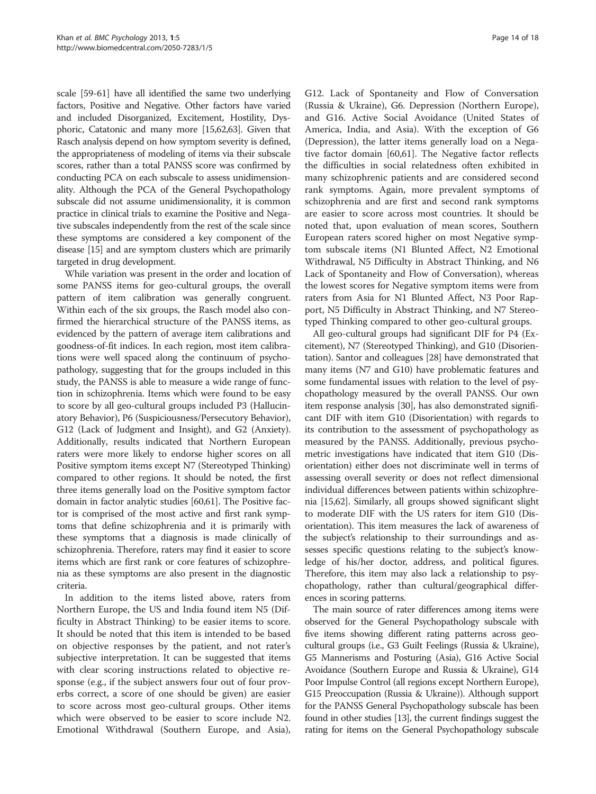scale [[59](#page-16-0)-[61\]](#page-16-0) have all identified the same two underlying factors, Positive and Negative. Other factors have varied and included Disorganized, Excitement, Hostility, Dysphoric, Catatonic and many more [\[15](#page-15-0)[,62,63](#page-16-0)]. Given that Rasch analysis depend on how symptom severity is defined, the appropriateness of modeling of items via their subscale scores, rather than a total PANSS score was confirmed by conducting PCA on each subscale to assess unidimensionality. Although the PCA of the General Psychopathology subscale did not assume unidimensionality, it is common practice in clinical trials to examine the Positive and Negative subscales independently from the rest of the scale since these symptoms are considered a key component of the disease [\[15\]](#page-15-0) and are symptom clusters which are primarily targeted in drug development.

While variation was present in the order and location of some PANSS items for geo-cultural groups, the overall pattern of item calibration was generally congruent. Within each of the six groups, the Rasch model also confirmed the hierarchical structure of the PANSS items, as evidenced by the pattern of average item calibrations and goodness-of-fit indices. In each region, most item calibrations were well spaced along the continuum of psychopathology, suggesting that for the groups included in this study, the PANSS is able to measure a wide range of function in schizophrenia. Items which were found to be easy to score by all geo-cultural groups included P3 (Hallucinatory Behavior), P6 (Suspiciousness/Persecutory Behavior), G12 (Lack of Judgment and Insight), and G2 (Anxiety). Additionally, results indicated that Northern European raters were more likely to endorse higher scores on all Positive symptom items except N7 (Stereotyped Thinking) compared to other regions. It should be noted, the first three items generally load on the Positive symptom factor domain in factor analytic studies [[60,61\]](#page-16-0). The Positive factor is comprised of the most active and first rank symptoms that define schizophrenia and it is primarily with these symptoms that a diagnosis is made clinically of schizophrenia. Therefore, raters may find it easier to score items which are first rank or core features of schizophrenia as these symptoms are also present in the diagnostic criteria.

In addition to the items listed above, raters from Northern Europe, the US and India found item N5 (Difficulty in Abstract Thinking) to be easier items to score. It should be noted that this item is intended to be based on objective responses by the patient, and not rater's subjective interpretation. It can be suggested that items with clear scoring instructions related to objective response (e.g., if the subject answers four out of four proverbs correct, a score of one should be given) are easier to score across most geo-cultural groups. Other items which were observed to be easier to score include N2. Emotional Withdrawal (Southern Europe, and Asia),

G12. Lack of Spontaneity and Flow of Conversation (Russia & Ukraine), G6. Depression (Northern Europe), and G16. Active Social Avoidance (United States of America, India, and Asia). With the exception of G6 (Depression), the latter items generally load on a Negative factor domain [[60,61](#page-16-0)]. The Negative factor reflects the difficulties in social relatedness often exhibited in many schizophrenic patients and are considered second rank symptoms. Again, more prevalent symptoms of schizophrenia and are first and second rank symptoms are easier to score across most countries. It should be noted that, upon evaluation of mean scores, Southern European raters scored higher on most Negative symptom subscale items (N1 Blunted Affect, N2 Emotional Withdrawal, N5 Difficulty in Abstract Thinking, and N6 Lack of Spontaneity and Flow of Conversation), whereas the lowest scores for Negative symptom items were from raters from Asia for N1 Blunted Affect, N3 Poor Rapport, N5 Difficulty in Abstract Thinking, and N7 Stereotyped Thinking compared to other geo-cultural groups.

All geo-cultural groups had significant DIF for P4 (Excitement), N7 (Stereotyped Thinking), and G10 (Disorientation). Santor and colleagues [[28](#page-16-0)] have demonstrated that many items (N7 and G10) have problematic features and some fundamental issues with relation to the level of psychopathology measured by the overall PANSS. Our own item response analysis [\[30](#page-16-0)], has also demonstrated significant DIF with item G10 (Disorientation) with regards to its contribution to the assessment of psychopathology as measured by the PANSS. Additionally, previous psychometric investigations have indicated that item G10 (Disorientation) either does not discriminate well in terms of assessing overall severity or does not reflect dimensional individual differences between patients within schizophrenia [[15](#page-15-0)[,62\]](#page-16-0). Similarly, all groups showed significant slight to moderate DIF with the US raters for item G10 (Disorientation). This item measures the lack of awareness of the subject's relationship to their surroundings and assesses specific questions relating to the subject's knowledge of his/her doctor, address, and political figures. Therefore, this item may also lack a relationship to psychopathology, rather than cultural/geographical differences in scoring patterns.

The main source of rater differences among items were observed for the General Psychopathology subscale with five items showing different rating patterns across geocultural groups (i.e., G3 Guilt Feelings (Russia & Ukraine), G5 Mannerisms and Posturing (Asia), G16 Active Social Avoidance (Southern Europe and Russia & Ukraine), G14 Poor Impulse Control (all regions except Northern Europe), G15 Preoccupation (Russia & Ukraine)). Although support for the PANSS General Psychopathology subscale has been found in other studies [\[13](#page-15-0)], the current findings suggest the rating for items on the General Psychopathology subscale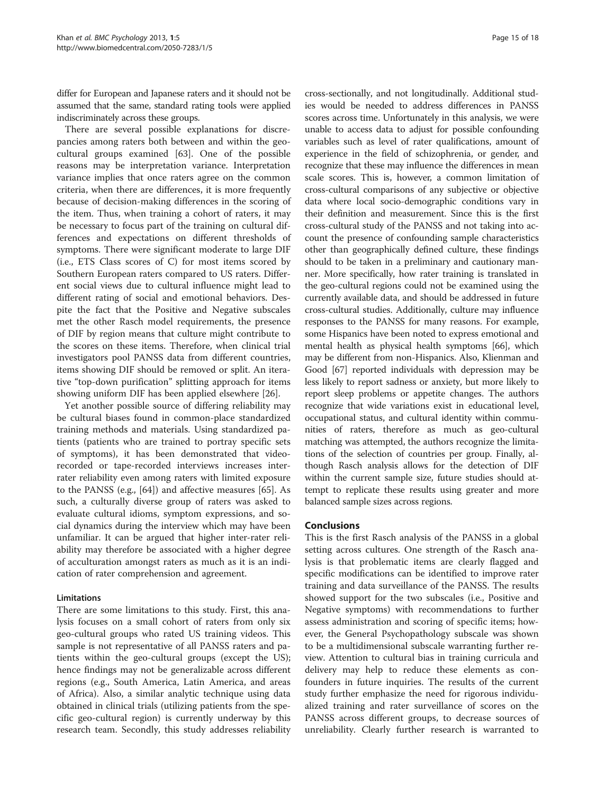differ for European and Japanese raters and it should not be assumed that the same, standard rating tools were applied indiscriminately across these groups.

There are several possible explanations for discrepancies among raters both between and within the geocultural groups examined [\[63\]](#page-16-0). One of the possible reasons may be interpretation variance. Interpretation variance implies that once raters agree on the common criteria, when there are differences, it is more frequently because of decision-making differences in the scoring of the item. Thus, when training a cohort of raters, it may be necessary to focus part of the training on cultural differences and expectations on different thresholds of symptoms. There were significant moderate to large DIF (i.e., ETS Class scores of C) for most items scored by Southern European raters compared to US raters. Different social views due to cultural influence might lead to different rating of social and emotional behaviors. Despite the fact that the Positive and Negative subscales met the other Rasch model requirements, the presence of DIF by region means that culture might contribute to the scores on these items. Therefore, when clinical trial investigators pool PANSS data from different countries, items showing DIF should be removed or split. An iterative "top-down purification" splitting approach for items showing uniform DIF has been applied elsewhere [\[26\]](#page-16-0).

Yet another possible source of differing reliability may be cultural biases found in common-place standardized training methods and materials. Using standardized patients (patients who are trained to portray specific sets of symptoms), it has been demonstrated that videorecorded or tape-recorded interviews increases interrater reliability even among raters with limited exposure to the PANSS (e.g., [\[64](#page-16-0)]) and affective measures [\[65](#page-16-0)]. As such, a culturally diverse group of raters was asked to evaluate cultural idioms, symptom expressions, and social dynamics during the interview which may have been unfamiliar. It can be argued that higher inter-rater reliability may therefore be associated with a higher degree of acculturation amongst raters as much as it is an indication of rater comprehension and agreement.

## Limitations

There are some limitations to this study. First, this analysis focuses on a small cohort of raters from only six geo-cultural groups who rated US training videos. This sample is not representative of all PANSS raters and patients within the geo-cultural groups (except the US); hence findings may not be generalizable across different regions (e.g., South America, Latin America, and areas of Africa). Also, a similar analytic technique using data obtained in clinical trials (utilizing patients from the specific geo-cultural region) is currently underway by this research team. Secondly, this study addresses reliability

cross-sectionally, and not longitudinally. Additional studies would be needed to address differences in PANSS scores across time. Unfortunately in this analysis, we were unable to access data to adjust for possible confounding variables such as level of rater qualifications, amount of experience in the field of schizophrenia, or gender, and recognize that these may influence the differences in mean scale scores. This is, however, a common limitation of cross-cultural comparisons of any subjective or objective data where local socio-demographic conditions vary in their definition and measurement. Since this is the first cross-cultural study of the PANSS and not taking into account the presence of confounding sample characteristics other than geographically defined culture, these findings should to be taken in a preliminary and cautionary manner. More specifically, how rater training is translated in the geo-cultural regions could not be examined using the currently available data, and should be addressed in future cross-cultural studies. Additionally, culture may influence responses to the PANSS for many reasons. For example, some Hispanics have been noted to express emotional and mental health as physical health symptoms [[66\]](#page-17-0), which may be different from non-Hispanics. Also, Klienman and Good [[67](#page-17-0)] reported individuals with depression may be less likely to report sadness or anxiety, but more likely to report sleep problems or appetite changes. The authors recognize that wide variations exist in educational level, occupational status, and cultural identity within communities of raters, therefore as much as geo-cultural matching was attempted, the authors recognize the limitations of the selection of countries per group. Finally, although Rasch analysis allows for the detection of DIF within the current sample size, future studies should attempt to replicate these results using greater and more balanced sample sizes across regions.

# Conclusions

This is the first Rasch analysis of the PANSS in a global setting across cultures. One strength of the Rasch analysis is that problematic items are clearly flagged and specific modifications can be identified to improve rater training and data surveillance of the PANSS. The results showed support for the two subscales (i.e., Positive and Negative symptoms) with recommendations to further assess administration and scoring of specific items; however, the General Psychopathology subscale was shown to be a multidimensional subscale warranting further review. Attention to cultural bias in training curricula and delivery may help to reduce these elements as confounders in future inquiries. The results of the current study further emphasize the need for rigorous individualized training and rater surveillance of scores on the PANSS across different groups, to decrease sources of unreliability. Clearly further research is warranted to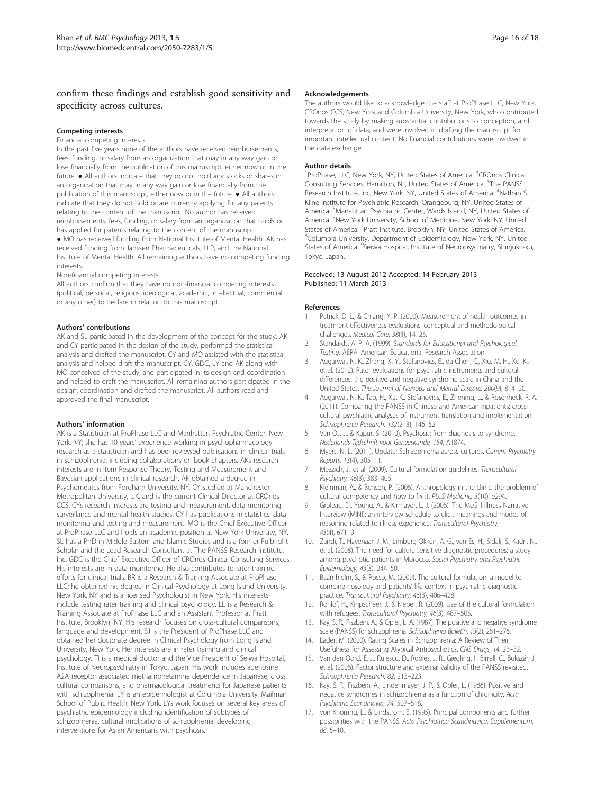# <span id="page-15-0"></span>confirm these findings and establish good sensitivity and specificity across cultures.

### Competing interests

Financial competing interests

In the past five years none of the authors have received reimbursements, fees, funding, or salary from an organization that may in any way gain or lose financially from the publication of this manuscript, either now or in the future. ● All authors indicate that they do not hold any stocks or shares in an organization that may in any way gain or lose financially from the publication of this manuscript, either now or in the future. ● All authors indicate that they do not hold or are currently applying for any patents relating to the content of the manuscript. No author has received reimbursements, fees, funding, or salary from an organization that holds or has applied for patents relating to the content of the manuscript. ● MO has received funding from National Institute of Mental Health. AK has received funding from Janssen Pharmaceuticals, LLP, and the National Institute of Mental Health. All remaining authors have no competing funding interests.

Non-financial competing interests

All authors confirm that they have no non-financial competing interests (political, personal, religious, ideological, academic, intellectual, commercial or any other) to declare in relation to this manuscript.

### Authors' contributions

AK and SL participated in the development of the concept for the study. AK and CY participated in the design of the study, performed the statistical analysis and drafted the manuscript. CY and MO assisted with the statistical analysis and helped draft the manuscript. CY, GDC, LY and AK along with MO conceived of the study, and participated in its design and coordination and helped to draft the manuscript. All remaining authors participated in the design, coordination and drafted the manuscript. All authors read and approved the final manuscript.

### Authors' information

AK is a Statistician at ProPhase LLC and Manhattan Psychiatric Center, New York, NY; she has 10 years' experience working in psychopharmacology research as a statistician and has peer reviewed publications in clinical trials in schizophrenia, including collaborations on book chapters. AKs research interests are in Item Response Theory, Testing and Measurement and Bayesian applications in clinical research. AK obtained a degree in Psychometrics from Fordham University, NY. CY studied at Manchester Metropolitan University, UK, and is the current Clinical Director at CROnos CCS. CYs research interests are testing and measurement, data monitoring, surveillance and mental health studies. CY has publications in statistics, data monitoring and testing and measurement. MO is the Chief Executive Officer at ProPhase LLC and holds an academic position at New York University, NY. SL has a PhD in Middle Eastern and Islamic Studies and is a former Fulbright Scholar and the Lead Research Consultant at The PANSS Research Institute, Inc. GDC is the Chief Executive Officer of CROnos Clinical Consulting Services. His interests are in data monitoring. He also contributes to rater training efforts for clinical trials. BR is a Research & Training Associate at ProPhase LLC; he obtained his degree in Clinical Psychology at Long Island University, New York, NY and is a licensed Psychologist in New York. His interests include testing rater training and clinical psychology. LL is a Research & Training Associate at ProPhase LLC and an Assistant Professor at Pratt Institute, Brooklyn, NY. His research focuses on cross-cultural comparisons, language and development. SJ is the President of ProPhase LLC and obtained her doctorate degree in Clinical Psychology from Long Island University, New York. Her interests are in rater training and clinical psychology. TI is a medical doctor and the Vice President of Seiwa Hospital, Institute of Neuropsychiatry in Tokyo, Japan. His work includes adenosine A2A receptor associated methamphetamine dependence in Japanese, cross cultural comparisons, and pharmacological treatments for Japanese patients with schizophrenia. LY is an epidemiologist at Columbia University, Mailman School of Public Health, New York. LYs work focuses on several key areas of psychiatric epidemiology including identification of subtypes of schizophrenia, cultural implications of schizophrenia, developing interventions for Asian Americans with psychosis.

### Acknowledgements

The authors would like to acknowledge the staff at ProPhase LLC, New York, CROnos CCS, New York and Columbia University, New York, who contributed towards the study by making substantial contributions to conception, and interpretation of data, and were involved in drafting the manuscript for important intellectual content. No financial contributions were involved in the data exchange.

### Author details

<sup>1</sup> ProPhase, LLC, New York, NY, United States of America. <sup>2</sup>CROnos Clinical Consulting Services, Hamilton, NJ, United States of America. <sup>3</sup>The PANSS Research Institute, Inc, New York, NY, United States of America. <sup>4</sup>Nathan S Kline Institute for Psychiatric Research, Orangeburg, NY, United States of America. <sup>5</sup>Manahttan Psychiatric Center, Wards Island, NY, United States of America. <sup>6</sup>New York University, School of Medicine, New York, NY, United States of America. <sup>7</sup> Pratt Institute, Brooklyn, NY, United States of America.<br><sup>8</sup> Columbia University, Department of Enidemiology, New York, NY, United <sup>8</sup>Columbia University, Department of Epidemiology, New York, NY, United States of America. <sup>9</sup>Seiwa Hospital, Institute of Neuropsychiatry, Shinjuku-ku, Tokyo, Japan.

### Received: 13 August 2012 Accepted: 14 February 2013 Published: 11 March 2013

### References

- 1. Patrick, D. L., & Chiang, Y. P. (2000). Measurement of health outcomes in treatment effectiveness evaluations: conceptual and methodological challenges. Medical Care, 38(II), 14–25.
- 2. Standards, A. P. A. (1999). Standards for Educational and Psychological Testing. AERA: American Educational Research Association.
- 3. Aggarwal, N. K., Zhang, X. Y., Stefanovics, E., da Chen, C., Xiu, M. H., Xu, K., et al. (2012). Rater evaluations for psychiatric instruments and cultural differences: the positive and negative syndrome scale in China and the United States. The Journal of Nervous and Mental Disease, 200(9), 814–20.
- 4. Aggarwal, N. K., Tao, H., Xu, K., Stefanovics, E., Zhening, L., & Rosenheck, R. A. (2011). Comparing the PANSS in Chinese and American inpatients: crosscultural psychiatric analyses of instrument translation and implementation. Schizophrenia Research, 132(2–3), 146–52.
- 5. Van Os, J., & Kapur, S. (2010). Psychosis: from diagnosis to syndrome. Nederlands Tijdschrift voor Geneeskunde, 154, A1874.
- 6. Myers, N. L. (2011). Update: Schizophrenia across cultures. Current Psychiatry Reports, 13(4), 305–11.
- 7. Mezzich, J., et al. (2009). Cultural formulation guidelines. Transcultural Psychiatry, 46(3), 383–405.
- 8. Kleinman, A., & Benson, P. (2006). Anthropology in the clinic: the problem of cultural competency and how to fix it. PLoS Medicine, 3(10), e294.
- 9. Groleau, D., Young, A., & Kirmayer, L. J. (2006). The McGill Illness Narrative Interview (MINI): an interview schedule to elicit meanings and modes of reasoning related to illness experience. Transcultural Psychiatry, 43(4), 671–91.
- 10. Zandi, T., Havenaar, J. M., Limburg-Okken, A. G., van Es, H., Sidali, S., Kadri, N., et al. (2008). The need for culture sensitive diagnostic procedures: a study among psychotic patients in Morocco. Social Psychiatry and Psychiatric Epidemiology, 43(3), 244–50.
- 11. Bäärnhielm, S., & Rosso, M. (2009). The cultural formulation: a model to combine nosology and patients' life context in psychiatric diagnostic practice. Transcultural Psychiatry, 46(3), 406–428.
- 12. Rohlof, H., Knipscheer, J., & Kleber, R. (2009). Use of the cultural formulation with refugees. Transcultural Psychiatry, 46(3), 487–505.
- 13. Kay, S. R., Fiszbein, A., & Opler, L. A. (1987). The positive and negative syndrome scale (PANSS) for schizophrenia. Schizophrenia Bulletin, 13(2), 261–276.
- 14. Lader, M. (2000). Rating Scales in Schizophrenia: A Review of Their Usefulness for Assessing Atypical Antipsychotics. CNS Drugs, 14, 23–32.
- 15. Van den Oord, E. J., Rujescu, D., Robles, J. R., Giegling, I., Birrell, C., Bukszár, J., et al. (2006). Factor structure and external validity of the PANSS revisited. Schizophrenia Research, 82, 213–223.
- 16. Kay, S. R., Fiszbein, A., Lindenmayer, J. P., & Opler, L. (1986). Positive and negative syndromes in schizophrenia as a function of chronicity. Acta Psychiatric Scandinavia, 74, 507–518.
- 17. von Knorring, L., & Lindstrom, E. (1995). Principal components and further possibilities with the PANSS. Acta Psychiatrica Scandinavica. Supplementum, 88, 5–10.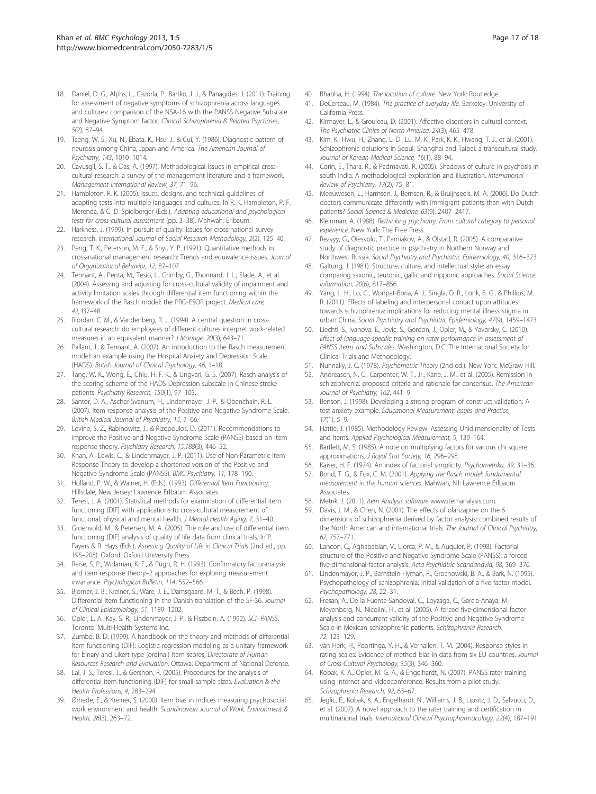- <span id="page-16-0"></span>18. Daniel, D. G., Alphs, L., Cazorla, P., Bartko, J. J., & Panagides, J. (2011). Training for assessment of negative symptoms of schizophrenia across languages and cultures: comparison of the NSA-16 with the PANSS Negative Subscale and Negative Symptom factor. Clinical Schizophrenia & Related Psychoses, 5(2), 87–94.
- 19. Tseng, W. S., Xu, N., Ebata, K., Hsu, J., & Cui, Y. (1986). Diagnostic pattern of neurosis among China, Japan and America. The American Journal of Psychiatry, 143, 1010–1014.
- 20. Cavusgil, S. T., & Das, A. (1997). Methodological issues in empirical crosscultural research: a survey of the management literature and a framework. Management International Review, 37, 71–96.
- 21. Hambleton, R. K. (2005). Issues, designs, and technical guidelines of adapting tests into multiple languages and cultures. In R. K. Hambleton, P. F. Merenda, & C. D. Spielberger (Eds.), Adapting educational and psychological tests for cross-cultural assessment (pp. 3–38). Mahwah: Erlbaum.
- 22. Harkness, J. (1999). In pursuit of quality: Issues for cross-national survey research. International Journal of Social Research Methodology, 2(2), 125–40.
- 23. Peng, T. K., Peterson, M. F., & Shyi, Y. P. (1991). Quantitative methods in cross-national management research: Trends and equivalence issues. Journal of Organizational Behavior, 12, 87–107.
- 24. Tennant, A., Penta, M., Tesio, L., Grimby, G., Thonnard, J. L., Slade, A., et al. (2004). Assessing and adjusting for cross-cultural validity of impairment and activity limitation scales through differential item functioning within the framework of the Rasch model: the PRO-ESOR project. Medical care, 42, I37–48.
- 25. Riordan, C. M., & Vandenberg, R. J. (1994). A central question in crosscultural research: do employees of different cultures interpret work-related measures in an equivalent manner? J Manage, 20(3), 643–71.
- 26. Pallant, J., & Tennant, A. (2007). An introduction to the Rasch measurement model: an example using the Hospital Anxiety and Depression Scale (HADS). British Journal of Clinical Psychology, 46, 1–18.
- 27. Tang, W. K., Wong, E., Chiu, H. F. K., & Ungvari, G. S. (2007). Rasch analysis of the scoring scheme of the HADS Depression subscale in Chinese stroke patients. Psychiatry Research, 150(1), 97–103.
- 28. Santor, D. A., Ascher-Svanum, H., Lindenmayer, J. P., & Obenchain, R. L. (2007). Item response analysis of the Positive and Negative Syndrome Scale. British Medical Journal of Psychiatry, 15, 7–66.
- 29. Levine, S. Z., Rabinowitz, J., & Rizopoulos, D. (2011). Recommendations to improve the Positive and Negative Syndrome Scale (PANSS) based on item response theory. Psychiatry Research, 15;188(3), 446–52.
- 30. Khan, A., Lewis, C., & Lindenmayer, J. P. (2011). Use of Non-Parametric Item Response Theory to develop a shortened version of the Positive and Negative Syndrome Scale (PANSS). BMC Psychiatry, 11, 178–190.
- 31. Holland, P. W., & Wainer, H. (Eds.). (1993). Differential Item Functioning. Hillsdale, New Jersey: Lawrence Erlbaum Associates.
- 32. Teresi, J. A. (2001). Statistical methods for examination of differential item functioning (DIF) with applications to cross-cultural measurement of functional, physical and mental health. J Mental Health Aging, 7, 31–40.
- 33. Groenvold, M., & Petersen, M. A. (2005). The role and use of differential item functioning (DIF) analysis of quality of life data from clinical trials. In P. Fayers & R. Hays (Eds.), Assessing Quality of Life in Clinical Trials (2nd ed., pp. 195–208). Oxford: Oxford University Press.
- 34. Reise, S. P., Widaman, K. F., & Pugh, R. H. (1993). Confirmatory factoranalysis and item response theory–2 approaches for exploring measurement invariance. Psychological Bulletin, 114, 552–566.
- 35. Bjorner, J. B., Kreiner, S., Ware, J. E., Damsgaard, M. T., & Bech, P. (1998). Differential item functioning in the Danish translation of the SF-36. Journal of Clinical Epidemiology, 51, 1189–1202.
- 36. Opler, L. A., Kay, S. R., Lindenmayer, J. P., & Fiszbein, A. (1992). SCI- PANSS. Toronto: Multi-Health Systems Inc.
- 37. Zumbo, B. D. (1999). A handbook on the theory and methods of differential item functioning (DIF): Logistic regression modeling as a unitary framework for binary and Likert-type (ordinal) item scores, Directorate of Human Resources Research and Evaluation. Ottawa: Department of National Defense.
- 38. Lai, J. S., Teresi, J., & Gershon, R. (2005). Procedures for the analysis of differential item functioning (DIF) for small sample sizes. Evaluation & the Health Professions, 4, 283–294.
- 39. Ørhede, E., & Kreiner, S. (2000). Item bias in indices measuring psychosocial work environment and health. Scandinavian Journal of Work, Environment & Health, 26(3), 263–72.
- 40. Bhabha, H. (1994). The location of culture. New York: Routledge.
- 41. DeCerteau, M. (1984). The practice of everyday life. Berkeley: University of California Press.
- 42. Kirmayer, L., & Grouleau, D. (2001). Affective disorders in cultural context. The Psychiatric Clinics of North America, 24(3), 465–478.
- 43. Kim, K., Hwu, H., Zhang, L. D., Lu, M. K., Park, K. K., Hwang, T. J., et al. (2001). Schizophrenic delusions in Seoul, Shanghai and Taipei: a transcultural study. Journal of Korean Medical Science, 16(1), 88–94.
- 44. Corin, E., Thara, R., & Padmavati, R. (2005). Shadows of culture in psychosis in south India: A methodological exploration and illustration. International Review of Psychiatry, 17(2), 75–81.
- 45. Meeuwesen, L., Harmsen, J., Bernsen, R., & Bruijnseels, M. A. (2006). Do Dutch doctors communicate differently with immigrant patients than with Dutch patients? Social Science & Medicine, 63(9), 2407–2417.
- 46. Kleinman, A. (1988). Rethinking psychiatry. From cultural category to personal experience. New York: The Free Press.
- 47. Rezvyy, G., Oiesvold, T., Parniakov, A., & Olstad, R. (2005). A comparative study of diagnostic practice in psychiatry in Northern Norway and Northwest Russia. Social Psychiatry and Psychiatric Epidemiology, 40, 316–323.
- 48. Galtung, J. (1981). Structure, culture, and intellectual style: an essay comparing saxonic, teutonic, gallic and nipponic approaches. Social Science Information, 20(6), 817–856.
- 49. Yang, L. H., Lo, G., Wonpat-Boria, A. J., Singla, D. R., Lonk, B. G., & Phillips, M. R. (2011). Effects of labeling and interpersonal contact upon attitudes towards schizophrenia: implications for reducing mental illness stigma in urban China. Social Psychiatry and Psychiatric Epidemiology, 47(9), 1459–1473.
- 50. Liechti, S., Ivanova, E., Jovic, S., Gordon, J., Opler, M., & Yavorsky, C. (2010). Effect of language-specific training on rater performance in assessment of PANSS items and Subscales. Washington, D.C: The International Society for Clinical Trials and Methodology.
- 51. Nunnally, J. C. (1978). Psychometric Theory (2nd ed.). New York: McGraw Hill.
- 52. Andreasen, N. C., Carpenter, W. T., Jr., Kane, J. M., et al. (2005). Remission in schizophrenia: proposed criteria and rationale for consensus. The American Journal of Psychiatry, 162, 441–9.
- 53. Benson, J. (1998). Developing a strong program of construct validation: A test anxiety example. Educational Measurement: Issues and Practice, 17(1), 5–9.
- 54. Hattie, J. (1985). Methodology Review: Assessing Unidimensionality of Tests and Items. Applied Psychological Measurement, 9, 139–164.
- 55. Bartlett, M. S. (1985). A note on multiplying factors for various chi square approximations. J Royal Stat Society, 16, 296–298.
- Kaiser, H. F. (1974). An index of factorial simplicity. Psychometrika, 39, 31-36.
- 57. Bond, T. G., & Fox, C. M. (2001). Applying the Rasch model: fundamental measurement in the human sciences. Mahwah, NJ: Lawrence Erlbaum Associates.
- 58. Metrik, J. (2011). Item Analysis software [www.itemanalysis.com](http://www.itemanalysis.com/).
- 59. Davis, J. M., & Chen, N. (2001). The effects of olanzapine on the 5 dimensions of schizophrenia derived by factor analysis: combined results of the North American and international trials. The Journal of Clinical Psychiatry, 62, 757–771.
- 60. Lancon, C., Aghababian, V., Llorca, P. M., & Auquier, P. (1998). Factorial structure of the Positive and Negative Syndrome Scale (PANSS): a forced five-dimensional factor analysis. Acta Psychiatric Scandanavia, 98, 369–376.
- 61. Lindenmayer, J. P., Bernstein-Hyman, R., Grochowski, B. A., & Bark, N. (1995). Psychopathology of schizophrenia: initial validation of a five factor model. Psychopathology, 28, 22–31.
- 62. Fresan, A., De la Fuente-Sandoval, C., Loyzaga, C., Garcia-Anaya, M., Meyenberg, N., Nicolini, H., et al. (2005). A forced five-dimensional factor analysis and concurrent validity of the Positive and Negative Syndrome Scale in Mexican schizophrenic patients. Schizophrenia Research, 72, 123–129.
- 63. van Herk, H., Poortinga, Y. H., & Verhallen, T. M. (2004). Response styles in rating scales: Evidence of method bias in data from six EU countries. Journal of Cross-Cultural Psychology, 35(3), 346–360.
- 64. Kobak, K. A., Opler, M. G. A., & Engelhardt, N. (2007). PANSS rater training using Internet and videoconference: Results from a pilot study. Schizophrenia Research, 92, 63–67.
- 65. Jeglic, E., Kobak, K. A., Engelhardt, N., Williams, J. B., Lipsitz, J. D., Salvucci, D., et al. (2007). A novel approach to the rater training and certification in multinational trials. International Clinical Psychopharmacology, 22(4), 187–191.